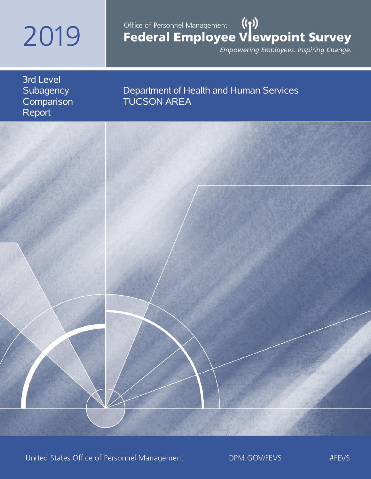# 2019

# Office of Personnel Management (())<br>Federal Employee Vlewpoint Survey

Empowering Employees. Inspiring Change.

3rd Level **Subagency Comparison** Report

# Department of Health and Human Services TUCSON AREA



United States Office of Personnel Management

OPM.GOV/FEVS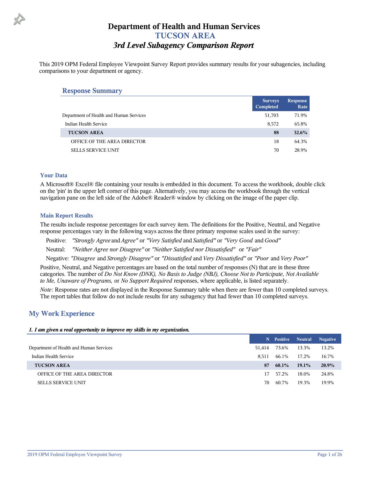This 2019 OPM Federal Employee Viewpoint Survey Report provides summary results for your subagencies, including comparisons to your department or agency.

#### **Response Summary**

| <b>Surveys</b><br>Completed | <b>Response</b><br>Rate |
|-----------------------------|-------------------------|
| 51,703                      | 71.9%                   |
| 8,572                       | 65.8%                   |
| 88                          | 32.6%                   |
| 18                          | 64.3%                   |
| 70                          | 28.9%                   |
|                             |                         |

#### **Your Data**

A Microsoft® Excel® file containing your results is embedded in this document. To access the workbook, double click on the 'pin' in the upper left corner of this page. Alternatively, you may access the workbook through the vertical navigation pane on the left side of the Adobe® Reader® window by clicking on the image of the paper clip.

#### **Main Report Results**

The results include response percentages for each survey item. The definitions for the Positive, Neutral, and Negative response percentages vary in the following ways across the three primary response scales used in the survey:

Positive: *"Strongly Agree* and *Agree"* or *"Very Satisfied* and *Satisfied"* or *"Very Good* and *Good"*

Neutral: *"Neither Agree nor Disagree"* or *"Neither Satisfied nor Dissatisfied"* or *"Fair"*

Negative: *"Disagree* and *Strongly Disagree"* or *"Dissatisfied* and *Very Dissatisfied"* or *"Poor* and *Very Poor"*

Positive, Neutral, and Negative percentages are based on the total number of responses (N) that are in these three categories. The number of *Do Not Know (DNK), No Basis to Judge (NBJ), Choose Not to Participate, Not Available to Me, Unaware of Programs,* or *No Support Required* responses, where applicable, is listed separately.

*Note*: Response rates are not displayed in the Response Summary table when there are fewer than 10 completed surveys. The report tables that follow do not include results for any subagency that had fewer than 10 completed surveys.

#### **My Work Experience**

#### *1. I am given a real opportunity to improve my skills in my organization.*

|                                         |        | N Positive | <b>Neutral</b> | <b>Negative</b> |
|-----------------------------------------|--------|------------|----------------|-----------------|
| Department of Health and Human Services | 51.414 | 73.6%      | 13.3%          | 13.2%           |
| Indian Health Service                   | 8.511  | 66.1%      | 17.2%          | 16.7%           |
| <b>TUCSON AREA</b>                      | 87     | 60.1%      | $19.1\%$       | 20.9%           |
| OFFICE OF THE AREA DIRECTOR             | 17     | 57.2%      | 18.0%          | 24.8%           |
| <b>SELLS SERVICE UNIT</b>               | 70     | 60.7%      | 19.3%          | 19.9%           |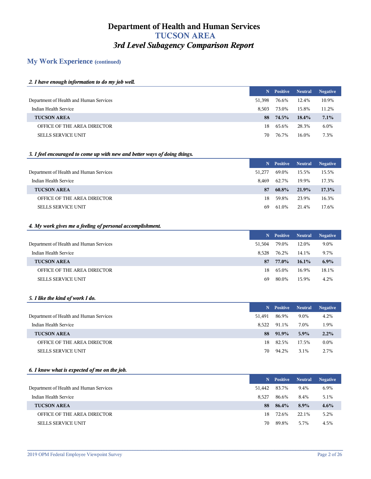## **My Work Experience (continued)**

#### *2. I have enough information to do my job well.*

|                                         | N.     | Positive | <b>Neutral</b> | Negative |
|-----------------------------------------|--------|----------|----------------|----------|
| Department of Health and Human Services | 51.398 | 76.6%    | 12.4%          | 10.9%    |
| Indian Health Service                   | 8.503  | 73.0%    | 15.8%          | 11.2%    |
| <b>TUCSON AREA</b>                      | 88.    | 74.5%    | $18.4\%$       | 7.1%     |
| OFFICE OF THE AREA DIRECTOR             | 18.    | 65.6%    | 28.3%          | 6.0%     |
| <b>SELLS SERVICE UNIT</b>               | 70.    | 76.7%    | 16.0%          | 7.3%     |

#### *3. I feel encouraged to come up with new and better ways of doing things.*

|                                         |        | N Positive | <b>Neutral</b> | <b>Negative</b> |
|-----------------------------------------|--------|------------|----------------|-----------------|
| Department of Health and Human Services | 51.277 | 69.0%      | 15.5%          | 15.5%           |
| Indian Health Service                   | 8.469  | 62.7%      | 19.9%          | 17.3%           |
| <b>TUCSON AREA</b>                      | 87     | $60.8\%$   | 21.9%          | 17.3%           |
| OFFICE OF THE AREA DIRECTOR             | 18.    | 59.8%      | 23.9%          | 16.3%           |
| <b>SELLS SERVICE UNIT</b>               | 69     | 61.0%      | 21.4%          | 17.6%           |

#### *4. My work gives me a feeling of personal accomplishment.*

|                                         |        | N Positive Neutral |          | <b>Negative</b> |
|-----------------------------------------|--------|--------------------|----------|-----------------|
| Department of Health and Human Services | 51.504 | 79.0%              | 12.0%    | 9.0%            |
| Indian Health Service                   | 8.528  | 76.2%              | 14.1%    | 9.7%            |
| <b>TUCSON AREA</b>                      | 87.    | 77.0%              | $16.1\%$ | 6.9%            |
| OFFICE OF THE AREA DIRECTOR             | 18.    | 65.0%              | 16.9%    | 18.1%           |
| <b>SELLS SERVICE UNIT</b>               | 69     | 80.0%              | 15.9%    | $4.2\%$         |

#### *5. I like the kind of work I do.*

|                                         | N.     | Positive | <b>Neutral</b> | <b>Negative</b> |
|-----------------------------------------|--------|----------|----------------|-----------------|
| Department of Health and Human Services | 51.491 | 86.9%    | 9.0%           | 4.2%            |
| Indian Health Service                   | 8.522  | 91.1%    | 7.0%           | 1.9%            |
| <b>TUCSON AREA</b>                      |        | 88 91.9% | $5.9\%$        | $2.2\%$         |
| OFFICE OF THE AREA DIRECTOR             | 18.    | 82.5%    | 17.5%          | $0.0\%$         |
| <b>SELLS SERVICE UNIT</b>               | 70     | 94.2%    | 3.1%           | 2.7%            |

#### *6. I know what is expected of me on the job.*

|                                         |        | N Positive | <b>Neutral</b> | <b>Negative</b> |
|-----------------------------------------|--------|------------|----------------|-----------------|
| Department of Health and Human Services | 51,442 | 83.7%      | 9.4%           | 6.9%            |
| Indian Health Service                   | 8.527  | 86.6%      | 8.4%           | 5.1%            |
| <b>TUCSON AREA</b>                      | 88     | 86.4%      | $8.9\%$        | $4.6\%$         |
| OFFICE OF THE AREA DIRECTOR             | 18     | 72.6%      | 22.1%          | 5.2%            |
| <b>SELLS SERVICE UNIT</b>               | 70     | 89.8%      | 5.7%           | 4.5%            |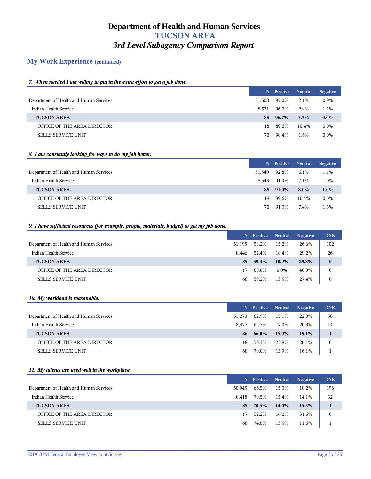## **My Work Experience (continued)**

#### *7. When needed I am willing to put in the extra effort to get a job done.*

|                                         |        | N Positive | <b>Neutral</b> | <b>Negative</b> |
|-----------------------------------------|--------|------------|----------------|-----------------|
| Department of Health and Human Services | 51.508 | 97.0%      | 2.1%           | 0.9%            |
| Indian Health Service                   | 8.531  | 96.0%      | 2.9%           | 1.1%            |
| <b>TUCSON AREA</b>                      | 88     | $96.7\%$   | $3.3\%$        | $0.0\%$         |
| OFFICE OF THE AREA DIRECTOR             | 18     | 89.6%      | 10.4%          | $0.0\%$         |
| <b>SELLS SERVICE UNIT</b>               | 70     | 98.4%      | 1.6%           | $0.0\%$         |

#### *8. I am constantly looking for ways to do my job better.*

|                                         |        | N Positive | <b>Neutral</b> | <b>Negative</b> |
|-----------------------------------------|--------|------------|----------------|-----------------|
| Department of Health and Human Services | 51,540 | 92.8%      | 6.1%           | 1.1%            |
| Indian Health Service                   | 8.543  | 91.9%      | 7.1%           | 1.0%            |
| <b>TUCSON AREA</b>                      | 88     | $91.0\%$   | $8.0\%$        | $1.0\%$         |
| OFFICE OF THE AREA DIRECTOR             | 18     | 89.6%      | 10.4%          | $0.0\%$         |
| <b>SELLS SERVICE UNIT</b>               | 70     | 91.3%      | 7.4%           | 1.3%            |

#### *9. I have sufficient resources (for example, people, materials, budget) to get my job done.*

|                                         | N.     | Positive | <b>Neutral</b> | <b>Negative</b> | <b>DNK</b> |
|-----------------------------------------|--------|----------|----------------|-----------------|------------|
| Department of Health and Human Services | 51,195 | 58.2%    | 15.2%          | 26.6%           | 102        |
| Indian Health Service                   | 8.446  | 52.4%    | 18.4%          | 29.2%           | 26         |
| <b>TUCSON AREA</b>                      | 85.    | 59.3%    | $10.9\%$       | 29.8%           | $\bf{0}$   |
| OFFICE OF THE AREA DIRECTOR             | 17     | 60.0%    | $0.0\%$        | 40.0%           | $\theta$   |
| <b>SELLS SERVICE UNIT</b>               | 68     | 59.2%    | 13.5%          | 27.4%           | $\theta$   |

#### *10. My workload is reasonable.*

|                                         |        | N Positive Neutral |       | <b>Negative</b> | <b>DNK</b> |
|-----------------------------------------|--------|--------------------|-------|-----------------|------------|
| Department of Health and Human Services | 51.270 | 62.9%              | 15.1% | 22.0%           | 58         |
| Indian Health Service                   | 8.477  | 62.7%              | 17.0% | 20.3%           | 14         |
| <b>TUCSON AREA</b>                      | 86     | $66.0\%$           | 15.9% | 18.1%           |            |
| OFFICE OF THE AREA DIRECTOR             | 18     | 50.1%              | 23.8% | 26.1%           | 0          |
| <b>SELLS SERVICE UNIT</b>               | 68     | 70.0%              | 13.9% | 16.1%           |            |

#### *11. My talents are used well in the workplace.*

|                                         |        | N Positive | Neutral  | <b>Negative</b> | <b>DNK</b>   |
|-----------------------------------------|--------|------------|----------|-----------------|--------------|
| Department of Health and Human Services | 50.945 | 66.5%      | 15.3%    | 18.2%           | 196          |
| Indian Health Service                   | 8.418  | 70.5%      | 15.4%    | 14.1%           | 32           |
| <b>TUCSON AREA</b>                      | 85.    | 70.5%      | $14.0\%$ | $15.5\%$        |              |
| OFFICE OF THE AREA DIRECTOR             | 17     | 52.2%      | 16.2%    | 31.6%           | $\mathbf{0}$ |
| <b>SELLS SERVICE UNIT</b>               | 68     | 74.8%      | 13.5%    | 11.6%           |              |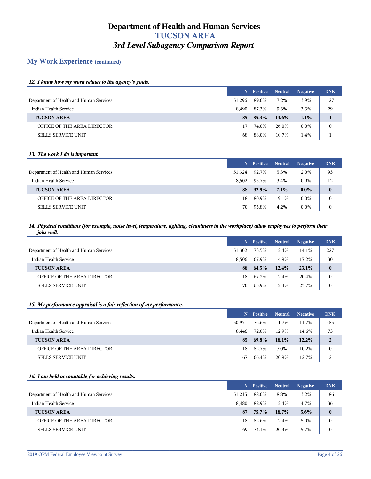## **My Work Experience (continued)**

#### *12. I know how my work relates to the agency's goals.*

|                                         | N.     | <b>Positive</b>   | Neutral  | <b>Negative</b> | <b>DNK</b>   |
|-----------------------------------------|--------|-------------------|----------|-----------------|--------------|
| Department of Health and Human Services | 51.296 | 89.0%             | 7.2%     | 3.9%            | 127          |
| Indian Health Service                   | 8.490  | 87.3%             | 9.3%     | 3.3%            | 29           |
| <b>TUCSON AREA</b>                      |        | $85 \quad 85.3\%$ | $13.6\%$ | $1.1\%$         |              |
| OFFICE OF THE AREA DIRECTOR             |        | 74.0%             | 26.0%    | $0.0\%$         | $\mathbf{0}$ |
| <b>SELLS SERVICE UNIT</b>               | 68     | 88.0%             | 10.7%    | $1.4\%$         |              |

#### *13. The work I do is important.*

|                                         | N.     | <b>Positive</b> | <b>Neutral</b> | <b>Negative</b> | <b>DNK</b>   |
|-----------------------------------------|--------|-----------------|----------------|-----------------|--------------|
| Department of Health and Human Services | 51,324 | 92.7%           | 5.3%           | 2.0%            | 93           |
| Indian Health Service                   | 8.502  | 95.7%           | 3.4%           | 0.9%            | 12           |
| <b>TUCSON AREA</b>                      | 88     | 92.9%           | $7.1\%$        | $0.0\%$         | $\bf{0}$     |
| OFFICE OF THE AREA DIRECTOR             | 18     | 80.9%           | 19.1%          | $0.0\%$         | $\mathbf{0}$ |
| <b>SELLS SERVICE UNIT</b>               | 70     | 95.8%           | 4.2%           | $0.0\%$         | $\mathbf{0}$ |

#### *14. Physical conditions (for example, noise level, temperature, lighting, cleanliness in the workplace) allow employees to perform their jobs well.*

|                                         |        | N Positive | <b>Neutral</b> | <b>Negative</b> | <b>DNK</b>       |
|-----------------------------------------|--------|------------|----------------|-----------------|------------------|
| Department of Health and Human Services | 51,302 | 73.5%      | 12.4%          | 14.1%           | 227              |
| Indian Health Service                   | 8.506  | 67.9%      | 14.9%          | 17.2%           | 30               |
| <b>TUCSON AREA</b>                      | 88     | 64.5%      | $12.4\%$       | $23.1\%$        | $\bf{0}$         |
| OFFICE OF THE AREA DIRECTOR             | 18.    | 67.2%      | 12.4%          | 20.4%           | $\mathbf{0}$     |
| <b>SELLS SERVICE UNIT</b>               | 70     | 63.9%      | 12.4%          | 23.7%           | $\boldsymbol{0}$ |

#### *15. My performance appraisal is a fair reflection of my performance.*

|                                         | N.     | Positive | <b>Neutral</b> | <b>Negative</b> | <b>DNK</b>     |
|-----------------------------------------|--------|----------|----------------|-----------------|----------------|
| Department of Health and Human Services | 50.971 | 76.6%    | 11.7%          | 11.7%           | 485            |
| Indian Health Service                   | 8.446  | 72.6%    | 12.9%          | 14.6%           | 73             |
| <b>TUCSON AREA</b>                      | 85.    | 69.8%    | $18.1\%$       | 12.2%           | $\overline{2}$ |
| OFFICE OF THE AREA DIRECTOR             | 18     | 82.7%    | 7.0%           | 10.2%           | 0              |
| <b>SELLS SERVICE UNIT</b>               | 67     | 66.4%    | 20.9%          | 12.7%           | C              |

#### *16. I am held accountable for achieving results.*

|                                         |        | N Positive | <b>Neutral</b> | <b>Negative</b> | <b>DNK</b> |
|-----------------------------------------|--------|------------|----------------|-----------------|------------|
| Department of Health and Human Services | 51.215 | 88.0%      | 8.8%           | 3.2%            | 186        |
| Indian Health Service                   | 8.480  | 82.9%      | 12.4%          | 4.7%            | 36         |
| <b>TUCSON AREA</b>                      | 87     | 75.7%      | $18.7\%$       | $5.6\%$         | $\bf{0}$   |
| OFFICE OF THE AREA DIRECTOR             | 18     | 82.6%      | 12.4%          | 5.0%            | 0          |
| <b>SELLS SERVICE UNIT</b>               | 69     | 74.1%      | 20.3%          | 5.7%            | $\theta$   |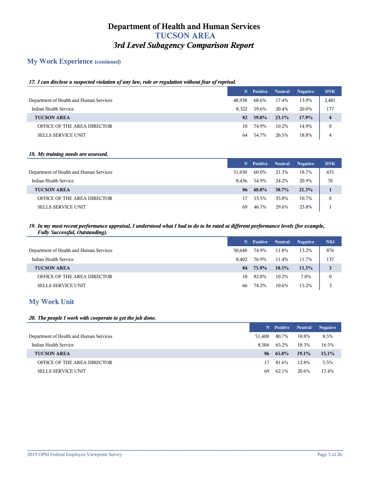## **My Work Experience (continued)**

## *17. I can disclose a suspected violation of any law, rule or regulation without fear of reprisal.*

|                                         |        | N Positive | <b>Neutral</b> | <b>Negative</b> | <b>DNK</b> |
|-----------------------------------------|--------|------------|----------------|-----------------|------------|
| Department of Health and Human Services | 48,938 | 68.6%      | 17.4%          | 13.9%           | 2,481      |
| Indian Health Service                   | 8.322  | 59.6%      | 20.4%          | 20.0%           | 177        |
| <b>TUCSON AREA</b>                      | 82     | 59.0%      | $23.1\%$       | 17.9%           | 4          |
| OFFICE OF THE AREA DIRECTOR             | 18     | 74.9%      | 10.2%          | 14.9%           |            |
| <b>SELLS SERVICE UNIT</b>               | 64     | 54.7%      | 26.5%          | 18.8%           | 4          |

#### *18. My training needs are assessed.*

|                                         | N.     | <b>Positive</b> | <b>Neutral</b> | <b>Negative</b> | <b>DNK</b>   |
|-----------------------------------------|--------|-----------------|----------------|-----------------|--------------|
| Department of Health and Human Services | 51,030 | 60.0%           | 21.3%          | 18.7%           | 435          |
| Indian Health Service                   | 8.436  | 54.9%           | 24.2%          | 20.9%           | 78           |
| <b>TUCSON AREA</b>                      | 86     | 48.0%           | $30.7\%$       | 21.3%           |              |
| OFFICE OF THE AREA DIRECTOR             | 17     | 53.5%           | 35.8%          | 10.7%           | $\mathbf{0}$ |
| <b>SELLS SERVICE UNIT</b>               | 69     | 46.7%           | 29.6%          | 23.8%           |              |

#### *19. In my most recent performance appraisal, I understood what I had to do to be rated at different performance levels (for example, Fully Successful, Outstanding).*

|                                         | N.     | <b>Positive</b> | <b>Neutral</b> | <b>Negative</b> | <b>NBJ</b>   |
|-----------------------------------------|--------|-----------------|----------------|-----------------|--------------|
| Department of Health and Human Services | 50.648 | 74.9%           | 11.8%          | 13.2%           | 876          |
| Indian Health Service                   | 8.402  | 76.9%           | 11.4%          | 11.7%           | 137          |
| <b>TUCSON AREA</b>                      | 84     | 75.9%           | $10.5\%$       | 13.5%           | 3            |
| OFFICE OF THE AREA DIRECTOR             | 18     | 82.8%           | 10.2%          | 7.0%            | $\mathbf{0}$ |
| <b>SELLS SERVICE UNIT</b>               | 66     | 74.2%           | 10.6%          | 15.2%           | 3            |

## **My Work Unit**

#### *20. The people I work with cooperate to get the job done.*

|                                         | N.     | <b>Positive</b> Neutral |          | <b>Negative</b> |
|-----------------------------------------|--------|-------------------------|----------|-----------------|
| Department of Health and Human Services | 51,408 | 80.7%                   | 10.8%    | 8.5%            |
| Indian Health Service                   | 8.504  | 65.2%                   | 18.3%    | 16.5%           |
| <b>TUCSON AREA</b>                      |        | $86 \quad 65.8\%$       | $19.1\%$ | $15.1\%$        |
| OFFICE OF THE AREA DIRECTOR             | 17     | 81.6%                   | 12.8%    | 5.5%            |
| <b>SELLS SERVICE UNIT</b>               | 69     | 62.1%                   | 20.6%    | 17.4%           |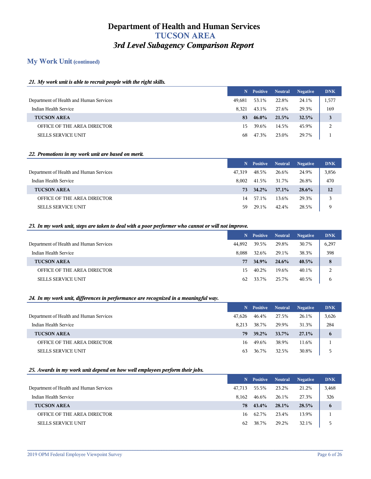## **My Work Unit (continued)**

#### *21. My work unit is able to recruit people with the right skills.*

|                                         |        | N Positive Neutral |       | <b>Negative</b> | <b>DNK</b> |
|-----------------------------------------|--------|--------------------|-------|-----------------|------------|
| Department of Health and Human Services | 49,681 | 53.1%              | 22.8% | 24.1%           | 1,577      |
| Indian Health Service                   | 8.321  | 43.1%              | 27.6% | 29.3%           | 169        |
| <b>TUCSON AREA</b>                      | 83     | $46.0\%$           | 21.5% | 32.5%           | 3          |
| OFFICE OF THE AREA DIRECTOR             | 15.    | 39.6%              | 14.5% | 45.9%           | 2          |
| <b>SELLS SERVICE UNIT</b>               | 68     | 47.3%              | 23.0% | 29.7%           |            |

#### *22. Promotions in my work unit are based on merit.*

|                                         | N.     | <b>Positive</b> | <b>Neutral</b> | <b>Negative</b> | <b>DNK</b> |
|-----------------------------------------|--------|-----------------|----------------|-----------------|------------|
| Department of Health and Human Services | 47.319 | 48.5%           | 26.6%          | 24.9%           | 3,856      |
| Indian Health Service                   | 8.002  | 41.5%           | 31.7%          | 26.8%           | 470        |
| <b>TUCSON AREA</b>                      | 73.    | $34.2\%$        | 37.1%          | 28.6%           | 12         |
| OFFICE OF THE AREA DIRECTOR             | 14     | 57.1%           | 13.6%          | 29.3%           | 3          |
| <b>SELLS SERVICE UNIT</b>               | 59     | 29.1%           | 42.4%          | 28.5%           | 9          |

#### *23. In my work unit, steps are taken to deal with a poor performer who cannot or will not improve.*

|                                         |        | N Positive | <b>Neutral</b> | <b>Negative</b> | <b>DNK</b> |
|-----------------------------------------|--------|------------|----------------|-----------------|------------|
| Department of Health and Human Services | 44,892 | 39.5%      | 29.8%          | 30.7%           | 6,297      |
| Indian Health Service                   | 8.088  | 32.6%      | 29.1%          | 38.3%           | 398        |
| <b>TUCSON AREA</b>                      | 77     | 34.9%      | 24.6%          | 40.5%           | 8          |
| OFFICE OF THE AREA DIRECTOR             | 15.    | 40.2%      | 19.6%          | 40.1%           | 2          |
| <b>SELLS SERVICE UNIT</b>               | 62     | 33.7%      | 25.7%          | 40.5%           | 6          |

#### *24. In my work unit, differences in performance are recognized in a meaningful way.*

|                                         |        | N Positive | <b>Neutral</b> | <b>Negative</b> | <b>DNK</b> |
|-----------------------------------------|--------|------------|----------------|-----------------|------------|
| Department of Health and Human Services | 47,626 | 46.4%      | 27.5%          | 26.1%           | 3,626      |
| Indian Health Service                   | 8.213  | 38.7%      | 29.9%          | 31.3%           | 284        |
| <b>TUCSON AREA</b>                      | 79     | $39.2\%$   | 33.7%          | $27.1\%$        | 6          |
| OFFICE OF THE AREA DIRECTOR             | 16     | 49.6%      | 38.9%          | 11.6%           |            |
| <b>SELLS SERVICE UNIT</b>               | 63     | 36.7%      | 32.5%          | 30.8%           |            |

#### *25. Awards in my work unit depend on how well employees perform their jobs.*

|                                         |        | N Positive | <b>Neutral</b> | <b>Negative</b> | <b>DNK</b> |
|-----------------------------------------|--------|------------|----------------|-----------------|------------|
| Department of Health and Human Services | 47.713 | 55.5%      | 23.2%          | 21.2%           | 3,468      |
| Indian Health Service                   | 8.162  | 46.6%      | 26.1%          | 27.3%           | 326        |
| <b>TUCSON AREA</b>                      | 78     | $43.4\%$   | $28.1\%$       | 28.5%           | 6          |
| OFFICE OF THE AREA DIRECTOR             | 16     | 62.7%      | 23.4%          | 13.9%           |            |
| <b>SELLS SERVICE UNIT</b>               | 62     | 38.7%      | 29.2%          | 32.1%           |            |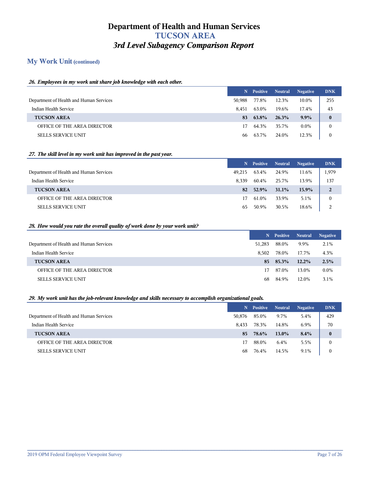## **My Work Unit (continued)**

#### *26. Employees in my work unit share job knowledge with each other.*

|                                         |        | N Positive | <b>Neutral</b> | <b>Negative</b> | <b>DNK</b> |
|-----------------------------------------|--------|------------|----------------|-----------------|------------|
| Department of Health and Human Services | 50.988 | 77.8%      | 12.3%          | 10.0%           | 255        |
| Indian Health Service                   | 8.451  | 63.0%      | 19.6%          | 17.4%           | 43         |
| <b>TUCSON AREA</b>                      | 83     | 63.8%      | 26.3%          | $9.9\%$         | $\bf{0}$   |
| OFFICE OF THE AREA DIRECTOR             | 17     | 64.3%      | 35.7%          | $0.0\%$         | 0          |
| <b>SELLS SERVICE UNIT</b>               | 66     | 63.7%      | 24.0%          | 12.3%           |            |

#### *27. The skill level in my work unit has improved in the past year.*

|                                         | N.     | <b>Positive</b> | <b>Neutral</b> | <b>Negative</b> | <b>DNK</b>     |
|-----------------------------------------|--------|-----------------|----------------|-----------------|----------------|
| Department of Health and Human Services | 49.215 | 63.4%           | 24.9%          | 11.6%           | 1,979          |
| Indian Health Service                   | 8.339  | 60.4%           | 25.7%          | 13.9%           | 137            |
| <b>TUCSON AREA</b>                      | 82     | 52.9%           | $31.1\%$       | 15.9%           | $\overline{2}$ |
| OFFICE OF THE AREA DIRECTOR             | 17.    | 61.0%           | 33.9%          | 5.1%            | $\mathbf{0}$   |
| <b>SELLS SERVICE UNIT</b>               | 65     | 50.9%           | 30.5%          | 18.6%           | 2              |

#### *28. How would you rate the overall quality of work done by your work unit?*

|                                         |        | N Positive Neutral |          | <b>Negative</b> |
|-----------------------------------------|--------|--------------------|----------|-----------------|
| Department of Health and Human Services | 51,283 | 88.0%              | 9.9%     | 2.1%            |
| Indian Health Service                   | 8.502  | 78.0%              | 17.7%    | 4.3%            |
| <b>TUCSON AREA</b>                      | 85.    | 85.3%              | $12.2\%$ | 2.5%            |
| OFFICE OF THE AREA DIRECTOR             | 17     | 87.0%              | 13.0%    | $0.0\%$         |
| <b>SELLS SERVICE UNIT</b>               | 68.    | 84.9%              | 12.0%    | $3.1\%$         |

#### *29. My work unit has the job-relevant knowledge and skills necessary to accomplish organizational goals.*

|                                         |        | N Positive | <b>Neutral</b> | <b>Negative</b> | <b>DNK</b> |
|-----------------------------------------|--------|------------|----------------|-----------------|------------|
| Department of Health and Human Services | 50,876 | 85.0%      | 9.7%           | 5.4%            | 429        |
| Indian Health Service                   | 8.433  | 78.3%      | 14.8%          | 6.9%            | 70         |
| <b>TUCSON AREA</b>                      | 85     | 78.6%      | $13.0\%$       | 8.4%            | $\bf{0}$   |
| OFFICE OF THE AREA DIRECTOR             | 17     | 88.0%      | 6.4%           | 5.5%            | 0          |
| <b>SELLS SERVICE UNIT</b>               | 68     | 76.4%      | 14.5%          | 9.1%            | 0          |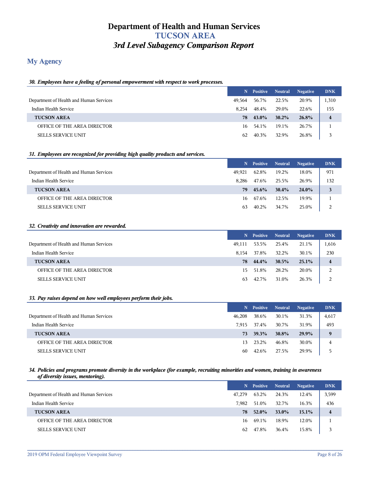## **My Agency**

#### *30. Employees have a feeling of personal empowerment with respect to work processes.*

|                                         |        | N Positive | <b>Neutral</b> | <b>Negative</b> | <b>DNK</b> |
|-----------------------------------------|--------|------------|----------------|-----------------|------------|
| Department of Health and Human Services | 49.564 | 56.7%      | 22.5%          | 20.9%           | 1,310      |
| Indian Health Service                   | 8.254  | 48.4%      | 29.0%          | 22.6%           | 155        |
| <b>TUCSON AREA</b>                      | 78     | 43.0%      | $30.2\%$       | 26.8%           | 4          |
| OFFICE OF THE AREA DIRECTOR             | 16     | 54.1%      | 19.1%          | 26.7%           |            |
| <b>SELLS SERVICE UNIT</b>               | 62     | 40.3%      | 32.9%          | 26.8%           |            |

#### *31. Employees are recognized for providing high quality products and services.*

|                                         | N.     | <b>Positive</b> | Neutral  | <b>Negative</b> | <b>DNK</b> |
|-----------------------------------------|--------|-----------------|----------|-----------------|------------|
| Department of Health and Human Services | 49.921 | 62.8%           | 19.2%    | 18.0%           | 971        |
| Indian Health Service                   | 8.286  | 47.6%           | 25.5%    | 26.9%           | 132        |
| <b>TUCSON AREA</b>                      | 79.    | $45.6\%$        | $30.4\%$ | 24.0%           | 3          |
| OFFICE OF THE AREA DIRECTOR             | 16     | 67.6%           | 12.5%    | 19.9%           |            |
| <b>SELLS SERVICE UNIT</b>               | 63     | 40.2%           | 34.7%    | 25.0%           | 2          |

#### *32. Creativity and innovation are rewarded.*

|                                         |        | N Positive Neutral |       | <b>Negative</b> | <b>DNK</b> |
|-----------------------------------------|--------|--------------------|-------|-----------------|------------|
| Department of Health and Human Services | 49,111 | 53.5%              | 25.4% | 21.1%           | 1,616      |
| Indian Health Service                   | 8.154  | 37.8%              | 32.2% | 30.1%           | 230        |
| <b>TUCSON AREA</b>                      | 78     | 44.4%              | 30.5% | 25.1%           | 4          |
| OFFICE OF THE AREA DIRECTOR             | 15.    | 51.8%              | 28.2% | 20.0%           | 2          |
| <b>SELLS SERVICE UNIT</b>               | 63     | 42.7%              | 31.0% | 26.3%           | 2          |

#### *33. Pay raises depend on how well employees perform their jobs.*

|                                         |        | N Positive | <b>Neutral</b> | <b>Negative</b> | <b>DNK</b> |
|-----------------------------------------|--------|------------|----------------|-----------------|------------|
| Department of Health and Human Services | 46,208 | 38.6%      | 30.1%          | 31.3%           | 4,617      |
| Indian Health Service                   | 7.915  | 37.4%      | 30.7%          | 31.9%           | 493        |
| <b>TUCSON AREA</b>                      | 73     | 39.3%      | <b>30.8%</b>   | 29.9%           | 9          |
| OFFICE OF THE AREA DIRECTOR             | 13     | 23.2%      | 46.8%          | 30.0%           | 4          |
| <b>SELLS SERVICE UNIT</b>               | 60     | 42.6%      | 27.5%          | 29.9%           | 5          |

#### *34. Policies and programs promote diversity in the workplace (for example, recruiting minorities and women, training in awareness of diversity issues, mentoring).*

|                                         |        | N Positive Neutral |       | <b>Negative</b> | <b>DNK</b>              |
|-----------------------------------------|--------|--------------------|-------|-----------------|-------------------------|
| Department of Health and Human Services | 47.279 | 63.2%              | 24.3% | 12.4%           | 3,599                   |
| Indian Health Service                   | 7.982  | 51.0%              | 32.7% | 16.3%           | 436                     |
| <b>TUCSON AREA</b>                      | 78     | 52.0%              | 33.0% | 15.1%           | $\overline{\mathbf{4}}$ |
| OFFICE OF THE AREA DIRECTOR             | 16     | 69.1%              | 18.9% | 12.0%           |                         |
| <b>SELLS SERVICE UNIT</b>               | 62     | 47.8%              | 36.4% | 15.8%           |                         |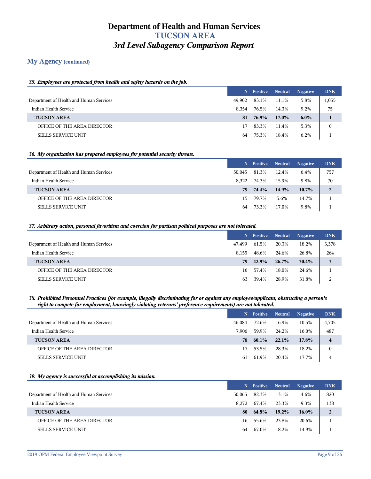## **My Agency (continued)**

#### *35. Employees are protected from health and safety hazards on the job.*

|                                         |        | N Positive Neutral |       | <b>Negative</b> | <b>DNK</b>   |
|-----------------------------------------|--------|--------------------|-------|-----------------|--------------|
| Department of Health and Human Services | 49.902 | 83.1%              | 11.1% | 5.8%            | 1,055        |
| Indian Health Service                   | 8.354  | 76.5%              | 14.3% | $9.2\%$         | 75           |
| <b>TUCSON AREA</b>                      | 81     | 76.9%              | 17.0% | $6.0\%$         |              |
| OFFICE OF THE AREA DIRECTOR             | 17     | 83.3%              | 11.4% | 5.3%            | $\mathbf{0}$ |
| <b>SELLS SERVICE UNIT</b>               | 64     | 75.3%              | 18.4% | 6.2%            |              |

#### *36. My organization has prepared employees for potential security threats.*

|                                         |        | N Positive | <b>Neutral</b> | <b>Negative</b> | <b>DNK</b> |
|-----------------------------------------|--------|------------|----------------|-----------------|------------|
| Department of Health and Human Services | 50.045 | 81.3%      | 12.4%          | 6.4%            | 757        |
| Indian Health Service                   | 8.322  | 74.3%      | 15.9%          | 9.8%            | 70         |
| <b>TUCSON AREA</b>                      | 79     | 74.4%      | 14.9%          | $10.7\%$        | 2          |
| OFFICE OF THE AREA DIRECTOR             | 15.    | 79.7%      | 5.6%           | 14.7%           |            |
| <b>SELLS SERVICE UNIT</b>               | 64     | 73.3%      | 17.0%          | 9.8%            |            |

#### *37. Arbitrary action, personal favoritism and coercion for partisan political purposes are not tolerated.*

|                                         |        | N Positive | <b>Neutral</b> | <b>Negative</b> | <b>DNK</b> |
|-----------------------------------------|--------|------------|----------------|-----------------|------------|
| Department of Health and Human Services | 47.499 | 61.5%      | 20.3%          | 18.2%           | 3,378      |
| Indian Health Service                   | 8.155  | 48.6%      | 24.6%          | 26.8%           | 264        |
| <b>TUCSON AREA</b>                      | 79     | 42.9%      | $26.7\%$       | 30.4%           | 3          |
| OFFICE OF THE AREA DIRECTOR             | 16     | 57.4%      | 18.0%          | 24.6%           |            |
| <b>SELLS SERVICE UNIT</b>               | 63     | 39.4%      | 28.9%          | 31.8%           | 2          |

#### *38. Prohibited Personnel Practices (for example, illegally discriminating for or against any employee/applicant, obstructing a person's right to compete for employment, knowingly violating veterans' preference requirements) are not tolerated.*

|        |       | <b>Neutral</b> | <b>Negative</b> | <b>DNK</b>     |
|--------|-------|----------------|-----------------|----------------|
| 46.084 | 72.6% | 16.9%          | 10.5%           | 4,705          |
| 7.906  | 59.9% | 24.2%          | 16.0%           | 487            |
| 78.    | 60.1% | 22.1%          | 17.8%           | $\overline{4}$ |
| 17     | 53.5% | 28.3%          | 18.2%           | $\mathbf{0}$   |
| 61     | 61.9% | 20.4%          | 17.7%           | $\overline{4}$ |
|        |       | N Positive     |                 |                |

#### *39. My agency is successful at accomplishing its mission.*

|                                         |        | N Positive | <b>Neutral</b> | <b>Negative</b> | <b>DNK</b>     |
|-----------------------------------------|--------|------------|----------------|-----------------|----------------|
| Department of Health and Human Services | 50,065 | 82.3%      | 13.1%          | 4.6%            | 820            |
| Indian Health Service                   | 8.272  | 67.4%      | 23.3%          | 9.3%            | 138            |
| <b>TUCSON AREA</b>                      | 80     | 64.8%      | $19.2\%$       | $16.0\%$        | $\overline{2}$ |
| OFFICE OF THE AREA DIRECTOR             | 16     | 55.6%      | 23.8%          | 20.6%           |                |
| <b>SELLS SERVICE UNIT</b>               | 64     | 67.0%      | 18.2%          | 14.9%           |                |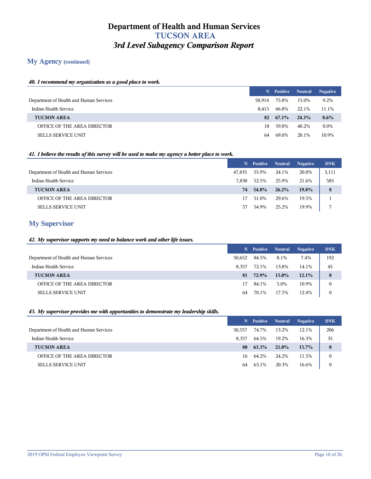## **My Agency (continued)**

#### *40. I recommend my organization as a good place to work.*

|                                         | N      | Positive          | <b>Neutral</b> | <b>Negative</b> |
|-----------------------------------------|--------|-------------------|----------------|-----------------|
| Department of Health and Human Services | 50.914 | 75.8%             | 15.0%          | 9.2%            |
| Indian Health Service                   | 8.415  | 66.8%             | 22.1%          | 11.1%           |
| <b>TUCSON AREA</b>                      |        | $82 \quad 67.1\%$ | 24.3%          | $8.6\%$         |
| OFFICE OF THE AREA DIRECTOR             | 18.    | 59.8%             | 40.2%          | $0.0\%$         |
| <b>SELLS SERVICE UNIT</b>               | 64     | 69.0%             | 20.1%          | 10.9%           |

#### *41. I believe the results of this survey will be used to make my agency a better place to work.*

|                                         | N.     | <b>Positive</b> | <b>Neutral</b> | <b>Negative</b> | <b>DNK</b> |
|-----------------------------------------|--------|-----------------|----------------|-----------------|------------|
| Department of Health and Human Services | 47.835 | 55.9%           | 24.1%          | 20.0%           | 3,111      |
| Indian Health Service                   | 7.838  | 52.5%           | 25.9%          | 21.6%           | 585        |
| <b>TUCSON AREA</b>                      | 74     | 54.0%           | $26.2\%$       | $19.8\%$        | 8          |
| OFFICE OF THE AREA DIRECTOR             | 17.    | 51.0%           | 29.6%          | 19.5%           |            |
| <b>SELLS SERVICE UNIT</b>               | 57     | 54.9%           | 25.2%          | 19.9%           | 7          |

## **My Supervisor**

### *42. My supervisor supports my need to balance work and other life issues.*

|                                         |        | N Positive Neutral |          | <b>Negative</b> | <b>DNK</b>       |
|-----------------------------------------|--------|--------------------|----------|-----------------|------------------|
| Department of Health and Human Services | 50,652 | 84.5%              | 8.1%     | 7.4%            | 192              |
| Indian Health Service                   | 8.357  | 72.1%              | 13.8%    | 14.1%           | 45               |
| <b>TUCSON AREA</b>                      | 81     | 72.9%              | $15.0\%$ | $12.1\%$        | $\bf{0}$         |
| OFFICE OF THE AREA DIRECTOR             | 17     | 84.1%              | 5.0%     | 10.9%           | $\mathbf{0}$     |
| <b>SELLS SERVICE UNIT</b>               | 64     | 70.1%              | 17.5%    | 12.4%           | $\boldsymbol{0}$ |

#### *43. My supervisor provides me with opportunities to demonstrate my leadership skills.*

|                                         |        | N Positive | <b>Neutral</b> | <b>Negative</b> | <b>DNK</b> |
|-----------------------------------------|--------|------------|----------------|-----------------|------------|
| Department of Health and Human Services | 50.557 | 74.7%      | 13.2%          | 12.1%           | 206        |
| Indian Health Service                   | 8.357  | 64.5%      | 19.2%          | 16.3%           | 35         |
| <b>TUCSON AREA</b>                      | 80     | 63.3%      | 21.0%          | $15.7\%$        | $\bf{0}$   |
| OFFICE OF THE AREA DIRECTOR             | 16     | 64.2%      | 24.2%          | 11.5%           |            |
| <b>SELLS SERVICE UNIT</b>               | 64     | 63.1%      | 20.3%          | 16.6%           |            |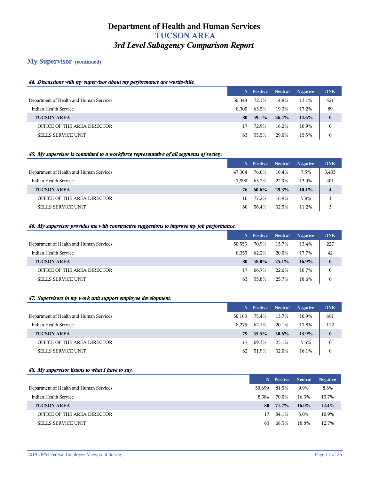## **My Supervisor (continued)**

#### *44. Discussions with my supervisor about my performance are worthwhile.*

|                                         |        | N Positive | <b>Neutral</b> | <b>Negative</b> | <b>DNK</b>   |
|-----------------------------------------|--------|------------|----------------|-----------------|--------------|
| Department of Health and Human Services | 50.348 | 72.1%      | 14.8%          | 13.1%           | 421          |
| Indian Health Service                   | 8.300  | 63.5%      | 19.3%          | 17.2%           | 89           |
| <b>TUCSON AREA</b>                      | 80     | 59.1%      | 26.4%          | 14.6%           | $\bf{0}$     |
| OFFICE OF THE AREA DIRECTOR             | 17     | 72.9%      | 16.2%          | 10.9%           | $\mathbf{0}$ |
| <b>SELLS SERVICE UNIT</b>               | 63     | 55.5%      | 29.0%          | 15.5%           | $\mathbf{0}$ |

#### *45. My supervisor is committed to a workforce representative of all segments of society.*

|                                         | N.     | <b>Positive</b> | Neutral | <b>Negative</b> | <b>DNK</b> |
|-----------------------------------------|--------|-----------------|---------|-----------------|------------|
| Department of Health and Human Services | 47.304 | 76.0%           | 16.4%   | 7.5%            | 3,435      |
| Indian Health Service                   | 7.990  | 63.2%           | 22.9%   | 13.9%           | 401        |
| <b>TUCSON AREA</b>                      | 76     | $60.6\%$        | 29.3%   | $10.1\%$        | 4          |
| OFFICE OF THE AREA DIRECTOR             | 16     | 77.2%           | 16.9%   | 5.8%            |            |
| <b>SELLS SERVICE UNIT</b>               | 60     | 56.4%           | 32.5%   | 11.2%           | 3          |

#### *46. My supervisor provides me with constructive suggestions to improve my job performance.*

|                                         |        | N Positive | <b>Neutral</b> | <b>Negative</b> | <b>DNK</b>   |
|-----------------------------------------|--------|------------|----------------|-----------------|--------------|
| Department of Health and Human Services | 50,553 | 70.9%      | 15.7%          | 13.4%           | 227          |
| Indian Health Service                   | 8.355  | 62.2%      | 20.0%          | 17.7%           | 42           |
| <b>TUCSON AREA</b>                      | 80     | 58.0%      | 25.1%          | 16.9%           | $\bf{0}$     |
| OFFICE OF THE AREA DIRECTOR             | 17     | 66.7%      | 22.6%          | 10.7%           |              |
| <b>SELLS SERVICE UNIT</b>               | 63     | 55.8%      | 25.7%          | 18.6%           | $\mathbf{0}$ |

#### *47. Supervisors in my work unit support employee development.*

|                                         |        | N Positive Neutral |          | <b>Negative</b> | <b>DNK</b> |
|-----------------------------------------|--------|--------------------|----------|-----------------|------------|
| Department of Health and Human Services | 50,103 | 75.4%              | 13.7%    | 10.9%           | 691        |
| Indian Health Service                   | 8.275  | 62.1%              | 20.1%    | 17.8%           | 112        |
| <b>TUCSON AREA</b>                      | 79     | $55.5\%$           | $30.6\%$ | 13.9%           | $\bf{0}$   |
| OFFICE OF THE AREA DIRECTOR             | 17     | 69.3%              | 25.1%    | 5.5%            | 0          |
| <b>SELLS SERVICE UNIT</b>               | 62     | 51.9%              | 32.0%    | 16.1%           | $\Omega$   |

#### *48. My supervisor listens to what I have to say.*

|                                         |        | N Positive | <b>Neutral</b> | <b>Negative</b> |
|-----------------------------------------|--------|------------|----------------|-----------------|
| Department of Health and Human Services | 50.699 | 81.5%      | 9.9%           | 8.6%            |
| Indian Health Service                   | 8.384  | 70.0%      | 16.3%          | 13.7%           |
| <b>TUCSON AREA</b>                      | 80     | 71.7%      | $16.0\%$       | 12.4%           |
| OFFICE OF THE AREA DIRECTOR             | 17.    | 84.1%      | 5.0%           | 10.9%           |
| <b>SELLS SERVICE UNIT</b>               | 63     | 68.5%      | 18.8%          | 12.7%           |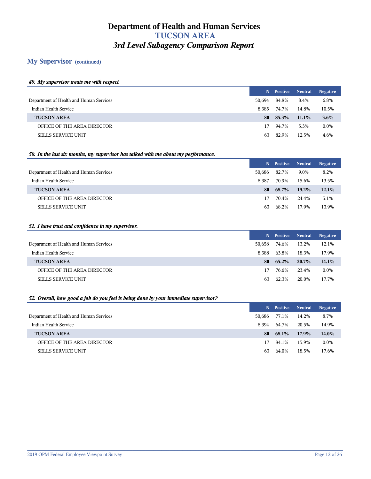## **My Supervisor (continued)**

#### *49. My supervisor treats me with respect.*

|                                         | N.     | Positive | <b>Neutral</b> | <b>Negative</b> |
|-----------------------------------------|--------|----------|----------------|-----------------|
| Department of Health and Human Services | 50.694 | 84.8%    | 8.4%           | 6.8%            |
| Indian Health Service                   | 8.385  | 74.7%    | 14.8%          | 10.5%           |
| <b>TUCSON AREA</b>                      | 80     | 85.3%    | $11.1\%$       | $3.6\%$         |
| OFFICE OF THE AREA DIRECTOR             | 17     | 94.7%    | 5.3%           | $0.0\%$         |
| <b>SELLS SERVICE UNIT</b>               | 63.    | 82.9%    | 12.5%          | 4.6%            |

#### *50. In the last six months, my supervisor has talked with me about my performance.*

|                                         |        | N Positive | <b>Neutral</b> | <b>Negative</b> |
|-----------------------------------------|--------|------------|----------------|-----------------|
| Department of Health and Human Services | 50,686 | 82.7%      | 9.0%           | 8.2%            |
| Indian Health Service                   | 8.387  | 70.9%      | 15.6%          | 13.5%           |
| <b>TUCSON AREA</b>                      | 80     | 68.7%      | $19.2\%$       | $12.1\%$        |
| OFFICE OF THE AREA DIRECTOR             | 17     | 70.4%      | 24.4%          | 5.1%            |
| <b>SELLS SERVICE UNIT</b>               | 63     | 68.2%      | 17.9%          | 13.9%           |

#### *51. I have trust and confidence in my supervisor.*

|                                         | N.     | <b>Positive</b> | <b>Neutral</b> | <b>Negative</b> |
|-----------------------------------------|--------|-----------------|----------------|-----------------|
| Department of Health and Human Services | 50.658 | 74.6%           | 13.2%          | 12.1%           |
| Indian Health Service                   | 8.388  | 63.8%           | 18.3%          | 17.9%           |
| <b>TUCSON AREA</b>                      | 80.    | 65.2%           | $20.7\%$       | $14.1\%$        |
| OFFICE OF THE AREA DIRECTOR             | 17.    | 76.6%           | 23.4%          | $0.0\%$         |
| <b>SELLS SERVICE UNIT</b>               | 63     | 62.3%           | 20.0%          | 17.7%           |

## *52. Overall, how good a job do you feel is being done by your immediate supervisor?*

|                                         |        | N Positive Neutral |          | <b>Negative</b> |
|-----------------------------------------|--------|--------------------|----------|-----------------|
| Department of Health and Human Services | 50.686 | 77.1%              | 14.2%    | 8.7%            |
| Indian Health Service                   | 8.394  | 64.7%              | 20.5%    | 14.9%           |
| <b>TUCSON AREA</b>                      | 80.    | 68.1%              | $17.9\%$ | $14.0\%$        |
| OFFICE OF THE AREA DIRECTOR             | 17     | 84.1%              | 15.9%    | $0.0\%$         |
| <b>SELLS SERVICE UNIT</b>               | 63     | 64.0%              | 18.5%    | 17.6%           |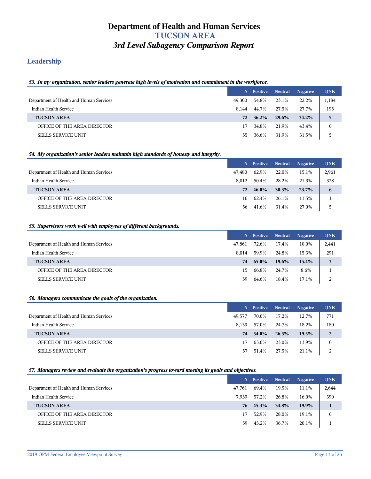## **Leadership**

#### *53. In my organization, senior leaders generate high levels of motivation and commitment in the workforce.*

|                                         |        | N Positive | <b>Neutral</b> | <b>Negative</b> | <b>DNK</b> |
|-----------------------------------------|--------|------------|----------------|-----------------|------------|
| Department of Health and Human Services | 49,300 | 54.8%      | 23.1%          | 22.2%           | 1,184      |
| Indian Health Service                   | 8.144  | 44.7%      | 27.5%          | 27.7%           | 195        |
| <b>TUCSON AREA</b>                      | 72     | $36.2\%$   | 29.6%          | 34.2%           | 5          |
| OFFICE OF THE AREA DIRECTOR             | 17     | 34.8%      | 21.9%          | 43.4%           |            |
| <b>SELLS SERVICE UNIT</b>               | 55.    | 36.6%      | 31.9%          | 31.5%           |            |

#### *54. My organization's senior leaders maintain high standards of honesty and integrity.*

|                                         | N.     | <b>Positive</b> | <b>Neutral</b> | <b>Negative</b> | <b>DNK</b> |
|-----------------------------------------|--------|-----------------|----------------|-----------------|------------|
| Department of Health and Human Services | 47.480 | 62.9%           | 22.0%          | 15.1%           | 2,961      |
| Indian Health Service                   | 8.012  | 50.4%           | 28.2%          | 21.3%           | 328        |
| <b>TUCSON AREA</b>                      | 72     | $46.0\%$        | $30.3\%$       | $23.7\%$        | 6          |
| OFFICE OF THE AREA DIRECTOR             | 16     | 62.4%           | 26.1%          | 11.5%           |            |
| <b>SELLS SERVICE UNIT</b>               | 56     | 41.6%           | 31.4%          | 27.0%           | 5          |

#### *55. Supervisors work well with employees of different backgrounds.*

|                                         |        | N Positive | <b>Neutral</b> | <b>Negative</b> | <b>DNK</b> |
|-----------------------------------------|--------|------------|----------------|-----------------|------------|
| Department of Health and Human Services | 47,861 | 72.6%      | 17.4%          | 10.0%           | 2,441      |
| Indian Health Service                   | 8.014  | 59.9%      | 24.8%          | 15.3%           | 291        |
| <b>TUCSON AREA</b>                      | 74     | 65.0%      | 19.6%          | 15.4%           | 3          |
| OFFICE OF THE AREA DIRECTOR             | 15.    | 66.8%      | 24.7%          | 8.6%            |            |
| <b>SELLS SERVICE UNIT</b>               | 59     | 64.6%      | 18.4%          | 17.1%           | 2          |

#### *56. Managers communicate the goals of the organization.*

|                                         |        | N Positive Neutral |       | <b>Negative</b> | <b>DNK</b>     |
|-----------------------------------------|--------|--------------------|-------|-----------------|----------------|
| Department of Health and Human Services | 49.577 | 70.0%              | 17.2% | 12.7%           | 771            |
| Indian Health Service                   | 8.139  | 57.0%              | 24.7% | 18.2%           | 180            |
| <b>TUCSON AREA</b>                      | 74     | 54.0%              | 26.5% | 19.5%           | $\overline{2}$ |
| OFFICE OF THE AREA DIRECTOR             | 17     | 63.0%              | 23.0% | 13.9%           | $\bf{0}$       |
| <b>SELLS SERVICE UNIT</b>               | 57     | 51.4%              | 27.5% | 21.1%           | 2              |

#### *57. Managers review and evaluate the organization's progress toward meeting its goals and objectives.*

|                                         |        | N Positive | <b>Neutral</b> | <b>Negative</b> | <b>DNK</b>   |
|-----------------------------------------|--------|------------|----------------|-----------------|--------------|
| Department of Health and Human Services | 47.761 | 69.4%      | 19.5%          | 11.1%           | 2,644        |
| Indian Health Service                   | 7.939  | 57.2%      | 26.8%          | 16.0%           | 390          |
| <b>TUCSON AREA</b>                      |        | 76 45.3%   | 34.8%          | 19.9%           |              |
| OFFICE OF THE AREA DIRECTOR             | 17     | 52.9%      | 28.0%          | 19.1%           | $\mathbf{0}$ |
| <b>SELLS SERVICE UNIT</b>               | 59     | 43.2%      | 36.7%          | 20.1%           |              |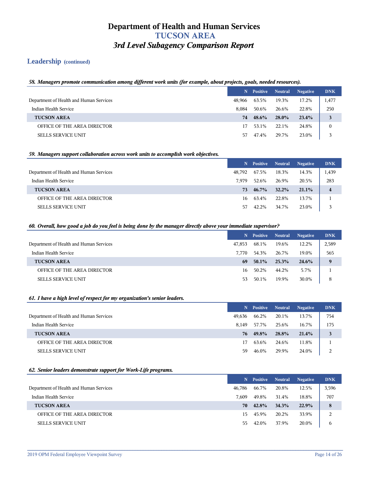## **Leadership (continued)**

#### *58. Managers promote communication among different work units (for example, about projects, goals, needed resources).*

|                                         |        | N Positive | <b>Neutral</b> | <b>Negative</b> | <b>DNK</b> |
|-----------------------------------------|--------|------------|----------------|-----------------|------------|
| Department of Health and Human Services | 48,966 | 63.5%      | 19.3%          | 17.2%           | 1,477      |
| Indian Health Service                   | 8.084  | 50.6%      | 26.6%          | 22.8%           | 250        |
| <b>TUCSON AREA</b>                      | 74     | $48.6\%$   | 28.0%          | 23.4%           | 3          |
| OFFICE OF THE AREA DIRECTOR             |        | 53.1%      | 22.1%          | 24.8%           |            |
| <b>SELLS SERVICE UNIT</b>               | 57     | 47.4%      | 29.7%          | 23.0%           |            |

#### *59. Managers support collaboration across work units to accomplish work objectives.*

|                                         |        | N Positive | <b>Neutral</b> | <b>Negative</b> | <b>DNK</b>              |
|-----------------------------------------|--------|------------|----------------|-----------------|-------------------------|
| Department of Health and Human Services | 48.792 | 67.5%      | 18.3%          | 14.3%           | 1,439                   |
| Indian Health Service                   | 7.979  | 52.6%      | 26.9%          | 20.5%           | 283                     |
| <b>TUCSON AREA</b>                      | 73.    | $46.7\%$   | $32.2\%$       | $21.1\%$        | $\overline{\mathbf{4}}$ |
| OFFICE OF THE AREA DIRECTOR             | 16     | 63.4%      | 22.8%          | 13.7%           |                         |
| <b>SELLS SERVICE UNIT</b>               | 57     | 42.2%      | 34.7%          | 23.0%           | 3                       |

#### *60. Overall, how good a job do you feel is being done by the manager directly above your immediate supervisor?*

|                                         |        | N Positive Neutral |       | <b>Negative</b> | <b>DNK</b> |
|-----------------------------------------|--------|--------------------|-------|-----------------|------------|
| Department of Health and Human Services | 47.853 | 68.1%              | 19.6% | 12.2%           | 2,589      |
| Indian Health Service                   | 7.770  | 54.3%              | 26.7% | 19.0%           | 565        |
| <b>TUCSON AREA</b>                      | 69     | $50.1\%$           | 25.3% | 24.6%           | 9          |
| OFFICE OF THE AREA DIRECTOR             | 16     | 50.2%              | 44.2% | 5.7%            |            |
| <b>SELLS SERVICE UNIT</b>               | 53     | 50.1%              | 19.9% | 30.0%           | 8          |

#### *61. I have a high level of respect for my organization's senior leaders.*

|                                         |        | N Positive | <b>Neutral</b> | <b>Negative</b> | <b>DNK</b> |
|-----------------------------------------|--------|------------|----------------|-----------------|------------|
| Department of Health and Human Services | 49.636 | 66.2%      | 20.1%          | 13.7%           | 754        |
| Indian Health Service                   | 8.149  | 57.7%      | 25.6%          | 16.7%           | 175        |
| <b>TUCSON AREA</b>                      | 76     | 49.8%      | 28.8%          | 21.4%           | 3          |
| OFFICE OF THE AREA DIRECTOR             | 17     | 63.6%      | 24.6%          | 11.8%           |            |
| <b>SELLS SERVICE UNIT</b>               | 59     | 46.0%      | 29.9%          | 24.0%           | 2          |

#### *62. Senior leaders demonstrate support for Work-Life programs.*

|                                         |        | N Positive | <b>Neutral</b> | <b>Negative</b> | <b>DNK</b> |
|-----------------------------------------|--------|------------|----------------|-----------------|------------|
| Department of Health and Human Services | 46,786 | 66.7%      | 20.8%          | 12.5%           | 3,596      |
| Indian Health Service                   | 7.609  | 49.8%      | 31.4%          | 18.8%           | 707        |
| <b>TUCSON AREA</b>                      | 70.    | 42.8%      | 34.3%          | 22.9%           | 8          |
| OFFICE OF THE AREA DIRECTOR             | 15.    | 45.9%      | 20.2%          | 33.9%           | 2          |
| <b>SELLS SERVICE UNIT</b>               | 55.    | 42.0%      | 37.9%          | 20.0%           | b          |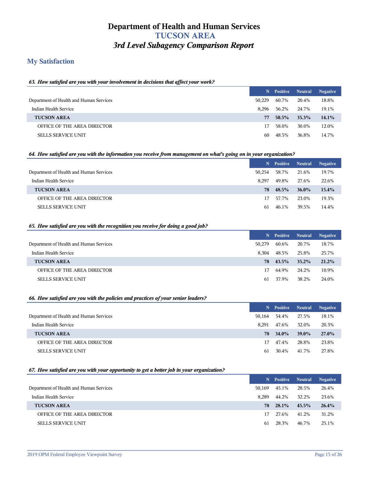## **My Satisfaction**

#### *63. How satisfied are you with your involvement in decisions that affect your work?*

|                                         |        | N Positive | <b>Neutral</b> | <b>Negative</b> |
|-----------------------------------------|--------|------------|----------------|-----------------|
| Department of Health and Human Services | 50.229 | 60.7%      | 20.4%          | 18.8%           |
| Indian Health Service                   | 8.296  | 56.2%      | 24.7%          | 19.1%           |
| <b>TUCSON AREA</b>                      | 77     | $50.5\%$   | 35.3%          | $14.1\%$        |
| OFFICE OF THE AREA DIRECTOR             | 17     | 58.0%      | 30.0%          | 12.0%           |
| <b>SELLS SERVICE UNIT</b>               | 60     | 48.5%      | 36.8%          | 14.7%           |

#### *64. How satisfied are you with the information you receive from management on what's going on in your organization?*

|                                         |        | N Positive | <b>Neutral</b> | <b>Negative</b> |
|-----------------------------------------|--------|------------|----------------|-----------------|
| Department of Health and Human Services | 50.254 | 58.7%      | 21.6%          | 19.7%           |
| Indian Health Service                   | 8.297  | 49.8%      | 27.6%          | 22.6%           |
| <b>TUCSON AREA</b>                      | 78.    | 48.5%      | $36.0\%$       | $15.4\%$        |
| OFFICE OF THE AREA DIRECTOR             | 17     | 57.7%      | 23.0%          | 19.3%           |
| <b>SELLS SERVICE UNIT</b>               | 61     | 46.1%      | 39.5%          | 14.4%           |

#### *65. How satisfied are you with the recognition you receive for doing a good job?*

|                                         | N.     | <b>Positive</b> Neutral |          | <b>Negative</b> |
|-----------------------------------------|--------|-------------------------|----------|-----------------|
| Department of Health and Human Services | 50.279 | 60.6%                   | 20.7%    | 18.7%           |
| Indian Health Service                   | 8.304  | 48.5%                   | 25.8%    | 25.7%           |
| <b>TUCSON AREA</b>                      |        | 78 43.5%                | $35.2\%$ | 21.2%           |
| OFFICE OF THE AREA DIRECTOR             | 17     | 64.9%                   | 24.2%    | 10.9%           |
| <b>SELLS SERVICE UNIT</b>               | 61     | 37.9%                   | 38.2%    | 24.0%           |

#### *66. How satisfied are you with the policies and practices of your senior leaders?*

|                                         | N.     | <b>Positive</b> | <b>Neutral</b> | <b>Negative</b> |
|-----------------------------------------|--------|-----------------|----------------|-----------------|
| Department of Health and Human Services | 50,164 | 54.4%           | 27.5%          | 18.1%           |
| Indian Health Service                   | 8.291  | 47.6%           | 32.0%          | 20.3%           |
| <b>TUCSON AREA</b>                      |        | 78 34.0%        | <b>39.0%</b>   | 27.0%           |
| OFFICE OF THE AREA DIRECTOR             | 17.    | 47.4%           | 28.8%          | 23.8%           |
| <b>SELLS SERVICE UNIT</b>               | 61     | 30.4%           | 41.7%          | 27.8%           |

#### *67. How satisfied are you with your opportunity to get a better job in your organization?*

|                                         |        | N Positive | <b>Neutral</b> | <b>Negative</b> |
|-----------------------------------------|--------|------------|----------------|-----------------|
| Department of Health and Human Services | 50.169 | 45.1%      | 28.5%          | 26.4%           |
| Indian Health Service                   | 8.289  | 44.2%      | 32.2%          | 23.6%           |
| <b>TUCSON AREA</b>                      | 78.    | 28.1%      | 45.5%          | 26.4%           |
| OFFICE OF THE AREA DIRECTOR             | 17.    | 27.6%      | 41.2%          | 31.2%           |
| <b>SELLS SERVICE UNIT</b>               | 61     | 28.3%      | 46.7%          | 25.1%           |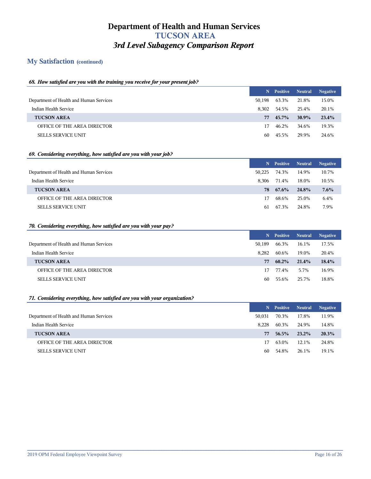## **My Satisfaction (continued)**

#### *68. How satisfied are you with the training you receive for your present job?*

|                                         |        | N Positive Neutral |          | <b>Negative</b> |
|-----------------------------------------|--------|--------------------|----------|-----------------|
| Department of Health and Human Services | 50.198 | 63.3%              | 21.8%    | 15.0%           |
| Indian Health Service                   | 8.302  | 54.5%              | 25.4%    | 20.1%           |
| <b>TUCSON AREA</b>                      | 77     | 45.7%              | $30.9\%$ | 23.4%           |
| OFFICE OF THE AREA DIRECTOR             | 17.    | 46.2%              | 34.6%    | 19.3%           |
| <b>SELLS SERVICE UNIT</b>               | 60.    | 45.5%              | 29.9%    | 24.6%           |

#### *69. Considering everything, how satisfied are you with your job?*

|                                         |        | N Positive | <b>Neutral</b> | <b>Negative</b> |
|-----------------------------------------|--------|------------|----------------|-----------------|
| Department of Health and Human Services | 50.225 | 74.3%      | 14.9%          | 10.7%           |
| Indian Health Service                   | 8.306  | 71.4%      | 18.0%          | 10.5%           |
| <b>TUCSON AREA</b>                      | 78.    | 67.6%      | 24.8%          | $7.6\%$         |
| OFFICE OF THE AREA DIRECTOR             | 17     | 68.6%      | 25.0%          | 6.4%            |
| <b>SELLS SERVICE UNIT</b>               | 61     | 67.3%      | 24.8%          | 7.9%            |

#### *70. Considering everything, how satisfied are you with your pay?*

|                                         | N.     | <b>Positive</b> Neutral |       | <b>Negative</b> |
|-----------------------------------------|--------|-------------------------|-------|-----------------|
| Department of Health and Human Services | 50.189 | 66.3%                   | 16.1% | 17.5%           |
| Indian Health Service                   | 8.282  | 60.6%                   | 19.0% | 20.4%           |
| <b>TUCSON AREA</b>                      | 77     | $60.2\%$                | 21.4% | 18.4%           |
| OFFICE OF THE AREA DIRECTOR             | 17     | 77.4%                   | 5.7%  | 16.9%           |
| <b>SELLS SERVICE UNIT</b>               | 60     | 55.6%                   | 25.7% | 18.8%           |

#### *71. Considering everything, how satisfied are you with your organization?*

|                                         | N.     | <b>Positive Neutral</b> |          | <b>Negative</b> |
|-----------------------------------------|--------|-------------------------|----------|-----------------|
| Department of Health and Human Services | 50.031 | 70.3%                   | 17.8%    | 11.9%           |
| Indian Health Service                   | 8.228  | 60.3%                   | 24.9%    | 14.8%           |
| <b>TUCSON AREA</b>                      | 77     | 56.5%                   | $23.2\%$ | 20.3%           |
| OFFICE OF THE AREA DIRECTOR             | 17     | 63.0%                   | 12.1%    | 24.8%           |
| <b>SELLS SERVICE UNIT</b>               | 60     | 54.8%                   | 26.1%    | 19.1%           |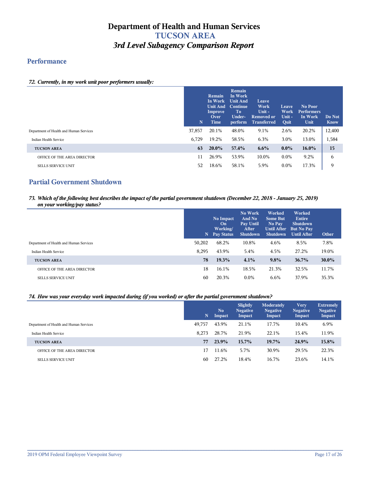## **Performance**

#### *72. Currently, in my work unit poor performers usually:*

|                                         | N      | <b>Remain</b><br>In Work<br><b>Unit And Continue</b><br>Improve<br>Over<br><b>Time</b> | Remain<br>In Work<br><b>Unit And</b><br>To:<br>Under-<br>perform | Leave<br>Work<br>Unit-<br><b>Removed or</b><br><b>Transferred</b> | Leave<br>Work<br>Unit-<br>Quit | No Poor<br><b>Performers</b><br>In Work<br>Unit | Do Not<br><b>Know</b> |
|-----------------------------------------|--------|----------------------------------------------------------------------------------------|------------------------------------------------------------------|-------------------------------------------------------------------|--------------------------------|-------------------------------------------------|-----------------------|
| Department of Health and Human Services | 37,857 | 20.1%                                                                                  | 48.0%                                                            | 9.1%                                                              | 2.6%                           | 20.2%                                           | 12,400                |
| Indian Health Service                   | 6,729  | 19.2%                                                                                  | 58.5%                                                            | 6.3%                                                              | 3.0%                           | 13.0%                                           | 1,584                 |
| <b>TUCSON AREA</b>                      | 63     | $20.0\%$                                                                               | 57.4%                                                            | $6.6\%$                                                           | $0.0\%$                        | $16.0\%$                                        | 15                    |
| OFFICE OF THE AREA DIRECTOR             | 11     | 26.9%                                                                                  | 53.9%                                                            | 10.0%                                                             | $0.0\%$                        | 9.2%                                            | 6                     |
| <b>SELLS SERVICE UNIT</b>               | 52     | 18.6%                                                                                  | 58.1%                                                            | 5.9%                                                              | $0.0\%$                        | 17.3%                                           | 9                     |

## **Partial Government Shutdown**

#### *73. Which of the following best describes the impact of the partial government shutdown (December 22, 2018 - January 25, 2019) on your working/pay status?*

|                                         | N      | No Impact<br>On<br>Working/<br><b>Pay Status</b> | No Work<br>And No<br>Pay Until<br>After<br><b>Shutdown</b> | Worked<br><b>Some But</b><br>No Pay<br>Until After<br><b>Shutdown</b> | Worked<br>Entire<br><b>Shutdown</b><br><b>But No Pay</b><br><b>Until After</b> | Other |
|-----------------------------------------|--------|--------------------------------------------------|------------------------------------------------------------|-----------------------------------------------------------------------|--------------------------------------------------------------------------------|-------|
| Department of Health and Human Services | 50,202 | 68.2%                                            | 10.8%                                                      | 4.6%                                                                  | 8.5%                                                                           | 7.8%  |
| Indian Health Service                   | 8,295  | 43.9%                                            | 5.4%                                                       | 4.5%                                                                  | 27.2%                                                                          | 19.0% |
| <b>TUCSON AREA</b>                      | 78     | 19.3%                                            | 4.1%                                                       | 9.8%                                                                  | 36.7%                                                                          | 30.0% |
| OFFICE OF THE AREA DIRECTOR             | 18     | 16.1%                                            | 18.5%                                                      | 21.3%                                                                 | 32.5%                                                                          | 11.7% |
| <b>SELLS SERVICE UNIT</b>               | 60     | 20.3%                                            | $0.0\%$                                                    | $6.6\%$                                                               | 37.9%                                                                          | 35.3% |

#### *74. How was your everyday work impacted during (if you worked) or after the partial government shutdown?*

|                                         | N,     | N <sub>0</sub><br>Impact | Slightly<br><b>Negative</b><br>Impact | Moderately<br><b>Negative</b><br>Impact | <b>Very</b><br><b>Negative</b><br>Impact | <b>Extremely</b><br><b>Negative</b><br>Impact |
|-----------------------------------------|--------|--------------------------|---------------------------------------|-----------------------------------------|------------------------------------------|-----------------------------------------------|
| Department of Health and Human Services | 49,757 | 43.9%                    | 21.1%                                 | 17.7%                                   | 10.4%                                    | 6.9%                                          |
| Indian Health Service                   | 8.273  | 28.7%                    | 21.9%                                 | 22.1%                                   | 15.4%                                    | 11.9%                                         |
| <b>TUCSON AREA</b>                      | 77     | 23.9%                    | $15.7\%$                              | 19.7%                                   | 24.9%                                    | 15.8%                                         |
| OFFICE OF THE AREA DIRECTOR             | 17     | 11.6%                    | 5.7%                                  | 30.9%                                   | 29.5%                                    | 22.3%                                         |
| <b>SELLS SERVICE UNIT</b>               | 60     | 27.2%                    | 18.4%                                 | 16.7%                                   | 23.6%                                    | 14.1%                                         |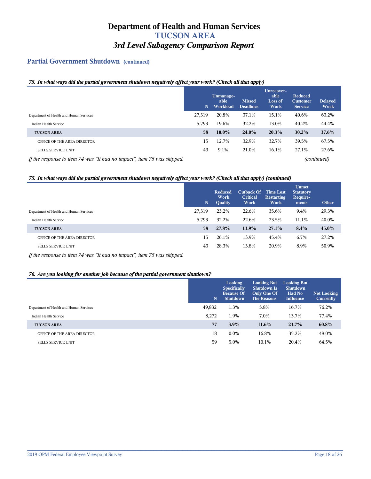## **Partial Government Shutdown (continued)**

#### *75. In what ways did the partial government shutdown negatively affect your work? (Check all that apply)*

|                                                                         | N      | Unmanage-<br>able<br>Workload | <b>Missed</b><br><b>Deadlines</b> | Unrecover-<br>able<br><b>Loss of</b><br>Work | Reduced<br><b>Customer</b><br><b>Service</b> | <b>Delayed</b><br>Work |
|-------------------------------------------------------------------------|--------|-------------------------------|-----------------------------------|----------------------------------------------|----------------------------------------------|------------------------|
| Department of Health and Human Services                                 | 27,319 | 20.8%                         | 37.1%                             | 15.1%                                        | 40.6%                                        | 63.2%                  |
| Indian Health Service                                                   | 5,793  | 19.6%                         | 32.2%                             | 13.0%                                        | 40.2%                                        | 44.4%                  |
| <b>TUCSON AREA</b>                                                      | 58     | $10.0\%$                      | $24.0\%$                          | 20.3%                                        | $30.2\%$                                     | 37.6%                  |
| OFFICE OF THE AREA DIRECTOR                                             | 15     | 12.7%                         | 32.9%                             | 32.7%                                        | 39.5%                                        | 67.5%                  |
| <b>SELLS SERVICE UNIT</b>                                               | 43     | 9.1%                          | 21.0%                             | 16.1%                                        | 27.1%                                        | 27.6%                  |
| If the response to item 74 was "It had no impact", item 75 was skipped. |        |                               |                                   |                                              |                                              | (continued)            |

#### *75. In what ways did the partial government shutdown negatively affect your work? (Check all that apply) (continued)*

|                                         | $\mathbf N$ | Reduced<br><b>Work</b><br>Quality | <b>Cutback Of</b><br><b>Critical</b><br>Work | <b>Time Lost</b><br><b>Restarting</b><br>Work | <b>Unmet</b><br><b>Statutory</b><br>Require-<br>ments | Other |
|-----------------------------------------|-------------|-----------------------------------|----------------------------------------------|-----------------------------------------------|-------------------------------------------------------|-------|
| Department of Health and Human Services | 27.319      | 23.2%                             | 22.6%                                        | 35.6%                                         | 9.4%                                                  | 29.3% |
| Indian Health Service                   | 5,793       | 32.2%                             | 22.6%                                        | 23.5%                                         | 11.1%                                                 | 40.0% |
| <b>TUCSON AREA</b>                      | 58          | 27.8%                             | 13.9%                                        | 27.1%                                         | 8.4%                                                  | 45.0% |
| OFFICE OF THE AREA DIRECTOR             | 15          | 26.1%                             | 13.9%                                        | 45.4%                                         | 6.7%                                                  | 27.2% |
| <b>SELLS SERVICE UNIT</b>               | 43          | 28.3%                             | 13.8%                                        | 20.9%                                         | 8.9%                                                  | 50.9% |

*If the response to item 74 was "It had no impact", item 75 was skipped.*

#### *76. Are you looking for another job because of the partial government shutdown?*

|                                         | N      | <b>Looking</b><br><b>Specifically</b><br><b>Because Of</b><br><b>Shutdown</b> | <b>Looking But</b><br><b>Shutdown Is</b><br>Only One Of<br><b>The Reasons</b> | Looking But<br><b>Shutdown</b><br>Had No<br>Influence | Not Looking<br>Currently |
|-----------------------------------------|--------|-------------------------------------------------------------------------------|-------------------------------------------------------------------------------|-------------------------------------------------------|--------------------------|
| Department of Health and Human Services | 49,832 | 1.3%                                                                          | 5.8%                                                                          | 16.7%                                                 | 76.2%                    |
| Indian Health Service                   | 8.272  | 1.9%                                                                          | 7.0%                                                                          | 13.7%                                                 | 77.4%                    |
| <b>TUCSON AREA</b>                      | 77     | 3.9%                                                                          | $11.6\%$                                                                      | 23.7%                                                 | 60.8%                    |
| OFFICE OF THE AREA DIRECTOR             | 18     | $0.0\%$                                                                       | 16.8%                                                                         | 35.2%                                                 | 48.0%                    |
| <b>SELLS SERVICE UNIT</b>               | 59     | 5.0%                                                                          | 10.1%                                                                         | 20.4%                                                 | 64.5%                    |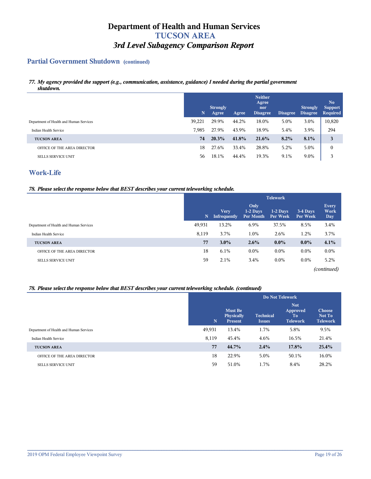## **Partial Government Shutdown (continued)**

#### *77. My agency provided the support (e.g., communication, assistance, guidance) I needed during the partial government shutdown.*

|                                         | N      | <b>Strongly</b><br>Agree | Agree | <b>Neither</b><br>Agree<br>nor<br><b>Disagree</b> | <b>Disagree</b> | <b>Strongly</b><br><b>Disagree</b> | N <sub>0</sub><br><b>Support</b><br><b>Required</b> |
|-----------------------------------------|--------|--------------------------|-------|---------------------------------------------------|-----------------|------------------------------------|-----------------------------------------------------|
| Department of Health and Human Services | 39,221 | 29.9%                    | 44.2% | 18.0%                                             | 5.0%            | 3.0%                               | 10,820                                              |
| Indian Health Service                   | 7.985  | 27.9%                    | 43.9% | 18.9%                                             | 5.4%            | 3.9%                               | 294                                                 |
| <b>TUCSON AREA</b>                      | 74     | 20.3%                    | 41.8% | 21.6%                                             | 8.2%            | 8.1%                               | 3                                                   |
| OFFICE OF THE AREA DIRECTOR             | 18     | 27.6%                    | 33.4% | 28.8%                                             | 5.2%            | 5.0%                               | $\mathbf{0}$                                        |
| <b>SELLS SERVICE UNIT</b>               | 56     | 18.1%                    | 44.4% | 19.3%                                             | 9.1%            | 9.0%                               | 3                                                   |

## **Work-Life**

#### *78. Please select the response below that BEST describes your current teleworking schedule.*

|                                         | <b>Telework</b> |                             |                                 |                        |                      |                             |  |
|-----------------------------------------|-----------------|-----------------------------|---------------------------------|------------------------|----------------------|-----------------------------|--|
|                                         | $\mathbf N$     | <b>Very</b><br>Infrequently | Only<br>$1-2$ Days<br>Per Month | $1-2$ Days<br>Per Week | 3-4 Days<br>Per Week | <b>Every</b><br>Work<br>Day |  |
| Department of Health and Human Services | 49,931          | 13.2%                       | 6.9%                            | 37.5%                  | 8.5%                 | 3.4%                        |  |
| Indian Health Service                   | 8,119           | 3.7%                        | 1.0%                            | 2.6%                   | 1.2%                 | 3.7%                        |  |
| <b>TUCSON AREA</b>                      | 77              | $3.0\%$                     | $2.6\%$                         | $0.0\%$                | $0.0\%$              | 4.1%                        |  |
| OFFICE OF THE AREA DIRECTOR             | 18              | 6.1%                        | $0.0\%$                         | $0.0\%$                | $0.0\%$              | $0.0\%$                     |  |
| <b>SELLS SERVICE UNIT</b>               | 59              | 2.1%                        | 3.4%                            | $0.0\%$                | $0.0\%$              | 5.2%                        |  |
|                                         |                 |                             |                                 |                        |                      |                             |  |

*(continued)*

#### *78. Please select the response below that BEST describes your current teleworking schedule. (continued)*

|                                         |             | <b>Do Not Telework</b>                         |                                   |                                                             |                                            |  |  |  |  |  |
|-----------------------------------------|-------------|------------------------------------------------|-----------------------------------|-------------------------------------------------------------|--------------------------------------------|--|--|--|--|--|
|                                         | $\mathbf N$ | <b>Must Be</b><br>Physically<br><b>Present</b> | <b>Technical</b><br><b>Issues</b> | <b>Not</b><br>Approved<br>T <sub>o</sub><br><b>Telework</b> | <b>Choose</b><br>Not To<br><b>Telework</b> |  |  |  |  |  |
| Department of Health and Human Services | 49,931      | 13.4%                                          | 1.7%                              | 5.8%                                                        | 9.5%                                       |  |  |  |  |  |
| Indian Health Service                   | 8,119       | 45.4%                                          | 4.6%                              | 16.5%                                                       | 21.4%                                      |  |  |  |  |  |
| <b>TUCSON AREA</b>                      | 77          | 44.7%                                          | 2.4%                              | 17.8%                                                       | 25.4%                                      |  |  |  |  |  |
| OFFICE OF THE AREA DIRECTOR             | 18          | 22.9%                                          | 5.0%                              | 50.1%                                                       | 16.0%                                      |  |  |  |  |  |
| <b>SELLS SERVICE UNIT</b>               | 59          | 51.0%                                          | 1.7%                              | 8.4%                                                        | 28.2%                                      |  |  |  |  |  |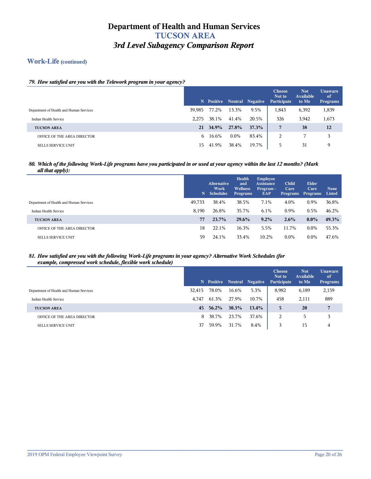## **Work-Life (continued)**

## *79. How satisfied are you with the Telework program in your agency?*

|                                         |        |       |         | N Positive Neutral Negative | <b>Choose</b><br>Not to<br>Participate | <b>Not</b><br><b>Available</b><br>to Me | <b>Unaware</b><br>of<br><b>Programs</b> |
|-----------------------------------------|--------|-------|---------|-----------------------------|----------------------------------------|-----------------------------------------|-----------------------------------------|
| Department of Health and Human Services | 39,985 | 77.2% | 13.3%   | 9.5%                        | 1,843                                  | 6,392                                   | 1,839                                   |
| Indian Health Service                   | 2.275  | 38.1% | 41.4%   | 20.5%                       | 326                                    | 3,942                                   | 1,673                                   |
| <b>TUCSON AREA</b>                      | 21     | 34.9% | 27.8%   | 37.3%                       | 7                                      | 38                                      | 12                                      |
| OFFICE OF THE AREA DIRECTOR             | 6      | 16.6% | $0.0\%$ | 83.4%                       | 2                                      |                                         | 3                                       |
| <b>SELLS SERVICE UNIT</b>               | 15.    | 41.9% | 38.4%   | 19.7%                       | כ                                      | 31                                      | 9                                       |

#### *80. Which of the following Work-Life programs have you participated in or used at your agency within the last 12 months? (Mark all that apply):*

|                                         |        | <b>Alternative</b><br>Work<br>N Schedules | <b>Health</b><br>and<br><b>Wellness</b><br><b>Programs</b> | <b>Employee</b><br><b>Assistance</b><br>Program -<br>EAP | Child<br>Care<br><b>Programs</b> | Elder<br>Care<br><b>Programs</b> | <b>None</b><br>Listed |
|-----------------------------------------|--------|-------------------------------------------|------------------------------------------------------------|----------------------------------------------------------|----------------------------------|----------------------------------|-----------------------|
| Department of Health and Human Services | 49,733 | 38.4%                                     | 38.5%                                                      | 7.1%                                                     | 4.0%                             | 0.9%                             | 36.8%                 |
| Indian Health Service                   | 8,190  | 26.8%                                     | 35.7%                                                      | 6.1%                                                     | 0.9%                             | 0.5%                             | 46.2%                 |
| <b>TUCSON AREA</b>                      | 77     | 23.7%                                     | 29.6%                                                      | 9.2%                                                     | $2.6\%$                          | $0.0\%$                          | 49.3%                 |
| OFFICE OF THE AREA DIRECTOR             | 18     | 22.1%                                     | 16.3%                                                      | 5.5%                                                     | 11.7%                            | $0.0\%$                          | 55.3%                 |
| <b>SELLS SERVICE UNIT</b>               | 59     | 24.1%                                     | 33.4%                                                      | 10.2%                                                    | $0.0\%$                          | $0.0\%$                          | 47.6%                 |

#### *81. How satisfied are you with the following Work-Life programs in your agency? Alternative Work Schedules (for example, compressed work schedule, flexible work schedule)*

|                                         |        |       |       | N Positive Neutral Negative | <b>Choose</b><br>Not to<br>Participate | <b>Not</b><br><b>Available</b><br>to Me | <b>Unaware</b><br>$\sigma$<br>Programs |
|-----------------------------------------|--------|-------|-------|-----------------------------|----------------------------------------|-----------------------------------------|----------------------------------------|
| Department of Health and Human Services | 32.415 | 78.0% | 16.6% | 5.3%                        | 8,982                                  | 6,189                                   | 2,159                                  |
| Indian Health Service                   | 4.747  | 61.3% | 27.9% | 10.7%                       | 458                                    | 2,111                                   | 889                                    |
| <b>TUCSON AREA</b>                      | 45     | 56.2% | 30.3% | $13.4\%$                    | 5.                                     | 20                                      | 7                                      |
| OFFICE OF THE AREA DIRECTOR             | 8.     | 38.7% | 23.7% | 37.6%                       | 2                                      | 5                                       | 3                                      |
| <b>SELLS SERVICE UNIT</b>               | 37     | 59.9% | 31.7% | 8.4%                        |                                        | 15                                      | 4                                      |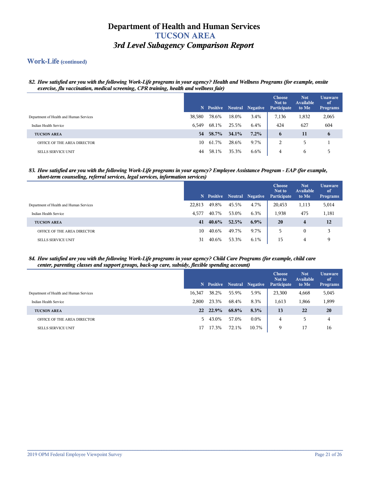### **Work-Life (continued)**

*82. How satisfied are you with the following Work-Life programs in your agency? Health and Wellness Programs (for example, onsite exercise, flu vaccination, medical screening, CPR training, health and wellness fair)*

|                                         |        |       |       | N Positive Neutral Negative | <b>Choose</b><br>Not to<br>Participate | <b>Not</b><br><b>Available</b><br>to Me | Unaware<br>of<br><b>Programs</b> |
|-----------------------------------------|--------|-------|-------|-----------------------------|----------------------------------------|-----------------------------------------|----------------------------------|
| Department of Health and Human Services | 38,580 | 78.6% | 18.0% | 3.4%                        | 7,136                                  | 1,832                                   | 2,065                            |
| Indian Health Service                   | 6.549  | 68.1% | 25.5% | 6.4%                        | 424                                    | 627                                     | 604                              |
| <b>TUCSON AREA</b>                      | 54     | 58.7% | 34.1% | $7.2\%$                     | 6                                      | 11                                      | 6                                |
| OFFICE OF THE AREA DIRECTOR             | 10     | 61.7% | 28.6% | 9.7%                        | 2                                      | 5.                                      |                                  |
| <b>SELLS SERVICE UNIT</b>               | 44     | 58.1% | 35.3% | 6.6%                        | 4                                      | <sub>6</sub>                            | 5                                |

#### *83. How satisfied are you with the following Work-Life programs in your agency? Employee Assistance Program - EAP (for example, short-term counseling, referral services, legal services, information services)*

|                                         |        |          |       | N Positive Neutral Negative | <b>Choose</b><br>Not to<br>Participate | <b>Not</b><br>Available<br>to Me | <b>Unaware</b><br>of<br><b>Programs</b> |
|-----------------------------------------|--------|----------|-------|-----------------------------|----------------------------------------|----------------------------------|-----------------------------------------|
| Department of Health and Human Services | 22,813 | 49.8%    | 45.5% | 4.7%                        | 20,453                                 | 1,113                            | 5,014                                   |
| Indian Health Service                   | 4.577  | 40.7%    | 53.0% | 6.3%                        | 1,938                                  | 475                              | 1,181                                   |
| <b>TUCSON AREA</b>                      | 41     | $40.6\%$ | 52.5% | $6.9\%$                     | 20                                     | $\overline{\mathbf{4}}$          | 12                                      |
| OFFICE OF THE AREA DIRECTOR             | 10     | 40.6%    | 49.7% | 9.7%                        | 5                                      | $\mathbf{0}$                     | 3                                       |
| <b>SELLS SERVICE UNIT</b>               | 31     | 40.6%    | 53.3% | $6.1\%$                     | 15                                     | 4                                | 9                                       |

#### *84. How satisfied are you with the following Work-Life programs in your agency? Child Care Programs (for example, child care center, parenting classes and support groups, back-up care, subsidy, flexible spending account)*

|                                         |        |         |       | N Positive Neutral Negative | <b>Choose</b><br>Not to<br>Participate | <b>Not</b><br><b>Available</b><br>to Me | <b>Unaware</b><br>of<br><b>Programs</b> |
|-----------------------------------------|--------|---------|-------|-----------------------------|----------------------------------------|-----------------------------------------|-----------------------------------------|
| Department of Health and Human Services | 16,347 | 38.2%   | 55.9% | 5.9%                        | 23,300                                 | 4,668                                   | 5,045                                   |
| Indian Health Service                   | 2.800  | 23.3%   | 68.4% | 8.3%                        | 1,613                                  | 1,866                                   | 1,899                                   |
| <b>TUCSON AREA</b>                      | 22     | 22.9%   | 68.8% | 8.3%                        | 13                                     | 22                                      | 20                                      |
| OFFICE OF THE AREA DIRECTOR             |        | 5 43.0% | 57.0% | $0.0\%$                     | 4                                      | 5                                       | 4                                       |
| <b>SELLS SERVICE UNIT</b>               | 17     | 17.3%   | 72.1% | 10.7%                       | Q                                      | 17                                      | 16                                      |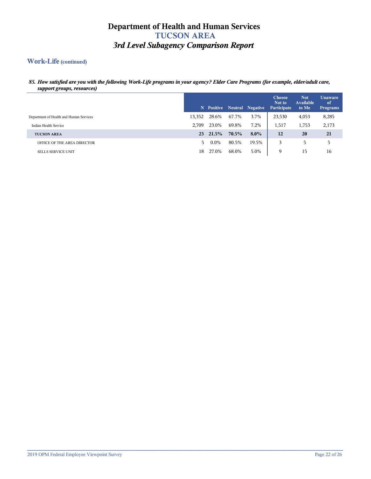## **Work-Life (continued)**

#### *85. How satisfied are you with the following Work-Life programs in your agency? Elder Care Programs (for example, elder/adult care, support groups, resources)*

|                                         |        |         |       | N Positive Neutral Negative | <b>Choose</b><br>Not to<br>Participate | <b>Not</b><br>Available<br>to Me | <b>Unaware</b><br>of<br>Programs |
|-----------------------------------------|--------|---------|-------|-----------------------------|----------------------------------------|----------------------------------|----------------------------------|
| Department of Health and Human Services | 13,352 | 28.6%   | 67.7% | 3.7%                        | 23,530                                 | 4,053                            | 8,285                            |
| Indian Health Service                   | 2.709  | 23.0%   | 69.8% | 7.2%                        | 1,517                                  | 1,753                            | 2,173                            |
| <b>TUCSON AREA</b>                      | 23     | 21.5%   | 70.5% | $8.0\%$                     | 12                                     | 20                               | 21                               |
| OFFICE OF THE AREA DIRECTOR             | 5.     | $0.0\%$ | 80.5% | 19.5%                       | 3                                      | 5                                | 5                                |
| <b>SELLS SERVICE UNIT</b>               | 18     | 27.0%   | 68.0% | 5.0%                        | 9                                      | 15                               | 16                               |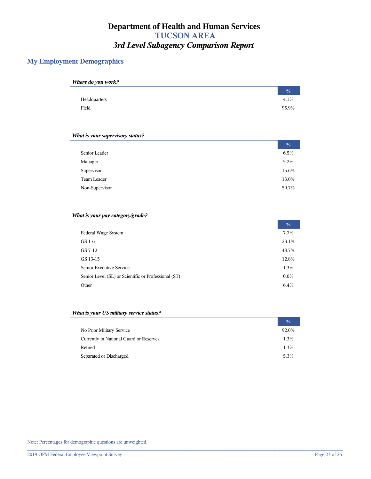## **My Employment Demographics**

| Where do you work? |               |
|--------------------|---------------|
|                    | $\frac{0}{0}$ |
| Headquarters       | 4.1%          |
| Field              | 95.9%         |

#### *What is your supervisory status?*

|                | $\frac{0}{6}$ |
|----------------|---------------|
| Senior Leader  | 6.5%          |
| Manager        | 5.2%          |
| Supervisor     | 15.6%         |
| Team Leader    | 13.0%         |
| Non-Supervisor | 59.7%         |

#### *What is your pay category/grade?*

|                                                      | $\frac{0}{0}$ |
|------------------------------------------------------|---------------|
| Federal Wage System                                  | 7.7%          |
| GS 1-6                                               | 23.1%         |
| GS 7-12                                              | 48.7%         |
| GS 13-15                                             | 12.8%         |
| Senior Executive Service                             | 1.3%          |
| Senior Level (SL) or Scientific or Professional (ST) | $0.0\%$       |
| Other                                                | 6.4%          |

#### *What is your US military service status?*

|                                         | $\frac{0}{0}$ |
|-----------------------------------------|---------------|
| No Prior Military Service               | 92.0%         |
| Currently in National Guard or Reserves | 1.3%          |
| Retired                                 | 1.3%          |
| Separated or Discharged                 | 5.3%          |

**\_\_\_\_\_\_\_\_\_\_\_\_\_\_\_\_\_\_\_\_\_\_\_\_\_\_\_\_\_\_\_\_\_\_\_\_\_\_\_\_\_\_\_\_\_\_\_\_\_\_\_\_\_\_\_\_\_\_\_\_\_\_\_\_\_\_\_\_\_\_\_\_\_\_\_\_\_\_\_\_\_\_\_\_\_\_\_\_\_\_\_\_\_\_\_\_\_\_\_\_\_\_\_\_\_\_\_\_\_\_\_\_\_\_\_\_\_\_\_\_**

Note: Percentages for demographic questions are unweighted.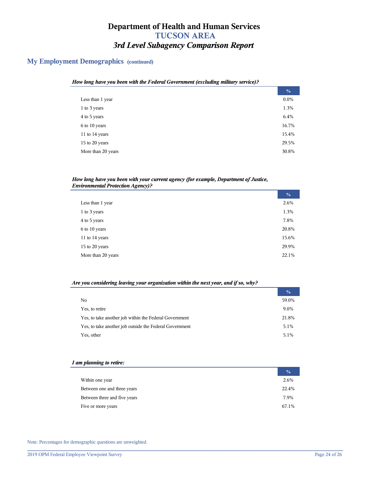## **My Employment Demographics (continued)**

| How long have you been with the Federal Government (excluding military service)? |               |
|----------------------------------------------------------------------------------|---------------|
|                                                                                  | $\frac{0}{0}$ |
| Less than 1 year                                                                 | $0.0\%$       |
| 1 to 3 years                                                                     | 1.3%          |
| 4 to 5 years                                                                     | 6.4%          |
| 6 to 10 years                                                                    | 16.7%         |
| 11 to $14$ years                                                                 | 15.4%         |
| 15 to 20 years                                                                   | 29.5%         |
| More than 20 years                                                               | 30.8%         |
|                                                                                  |               |

#### *How long have you been with your current agency (for example, Department of Justice, Environmental Protection Agency)?*

|                    | $\frac{0}{0}$ |
|--------------------|---------------|
| Less than 1 year   | 2.6%          |
| 1 to 3 years       | 1.3%          |
| 4 to 5 years       | 7.8%          |
| 6 to 10 years      | 20.8%         |
| 11 to 14 years     | 15.6%         |
| 15 to 20 years     | 29.9%         |
| More than 20 years | 22.1%         |

#### *Are you considering leaving your organization within the next year, and if so, why?*

|                                                         | $\frac{0}{0}$ |
|---------------------------------------------------------|---------------|
| No                                                      | 59.0%         |
| Yes, to retire                                          | 9.0%          |
| Yes, to take another job within the Federal Government  | 21.8%         |
| Yes, to take another job outside the Federal Government | 5.1%          |
| Yes, other                                              | 5.1%          |

#### *I am planning to retire:*

|                              | $\frac{0}{0}$ |
|------------------------------|---------------|
| Within one year              | 2.6%          |
| Between one and three years  | 22.4%         |
| Between three and five years | 7.9%          |
| Five or more years           | 67.1%         |

**\_\_\_\_\_\_\_\_\_\_\_\_\_\_\_\_\_\_\_\_\_\_\_\_\_\_\_\_\_\_\_\_\_\_\_\_\_\_\_\_\_\_\_\_\_\_\_\_\_\_\_\_\_\_\_\_\_\_\_\_\_\_\_\_\_\_\_\_\_\_\_\_\_\_\_\_\_\_\_\_\_\_\_\_\_\_\_\_\_\_\_\_\_\_\_\_\_\_\_\_\_\_\_\_\_\_\_\_\_\_\_\_\_\_\_\_\_\_\_\_**

Note: Percentages for demographic questions are unweighted.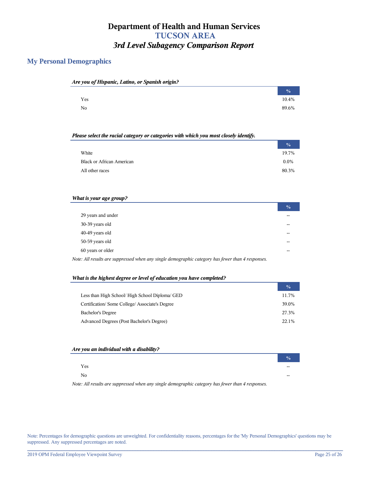## **My Personal Demographics**

| Are you of Hispanic, Latino, or Spanish origin? |               |
|-------------------------------------------------|---------------|
|                                                 | $\frac{0}{0}$ |
| Yes                                             | 10.4%         |
| No                                              | 89.6%         |

#### *Please select the racial category or categories with which you most closely identify.*

|                                  | $\frac{0}{0}$ |
|----------------------------------|---------------|
| White                            | 19.7%         |
| <b>Black or African American</b> | $0.0\%$       |
| All other races                  | 80.3%         |

#### *What is your age group?*

|                                                                                                                | $\frac{0}{0}$ |  |
|----------------------------------------------------------------------------------------------------------------|---------------|--|
| 29 years and under                                                                                             |               |  |
| 30-39 years old                                                                                                |               |  |
| 40-49 years old                                                                                                |               |  |
| 50-59 years old                                                                                                |               |  |
| 60 years or older                                                                                              |               |  |
| $I_{\alpha}$ and $I_{\alpha}$ are compressed when any single demographic extension has fought than A necessary |               |  |

## *Note: All results are suppressed when any single demographic category has fewer than 4 responses.*

#### *What is the highest degree or level of education you have completed?*

|                                                 | $\frac{0}{0}$ |
|-------------------------------------------------|---------------|
| Less than High School/ High School Diploma/ GED | 11.7%         |
| Certification/Some College/Associate's Degree   | 39.0%         |
| <b>Bachelor's Degree</b>                        | 27.3%         |
| Advanced Degrees (Post Bachelor's Degree)       | 22.1%         |

#### *Are you an individual with a disability?*

|          | $\frac{6}{10}$ |
|----------|----------------|
| Yes      | --             |
| $\rm No$ | --             |
|          |                |

*Note: All results are suppressed when any single demographic category has fewer than 4 responses.*

Note: Percentages for demographic questions are unweighted. For confidentiality reasons, percentages for the 'My Personal Demographics' questions may be suppressed. Any suppressed percentages are noted.